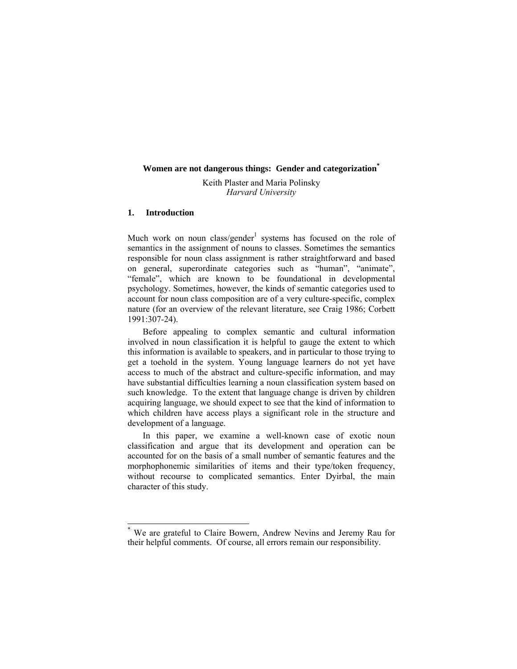# **Women are not dangerous things: Gender and categorization\***

Keith Plaster and Maria Polinsky *Harvard University* 

### **1. Introduction**

Much work on noun class/gender<sup>1</sup> systems has focused on the role of semantics in the assignment of nouns to classes. Sometimes the semantics responsible for noun class assignment is rather straightforward and based on general, superordinate categories such as "human", "animate", "female", which are known to be foundational in developmental psychology. Sometimes, however, the kinds of semantic categories used to account for noun class composition are of a very culture-specific, complex nature (for an overview of the relevant literature, see Craig 1986; Corbett 1991:307-24).

Before appealing to complex semantic and cultural information involved in noun classification it is helpful to gauge the extent to which this information is available to speakers, and in particular to those trying to get a toehold in the system. Young language learners do not yet have access to much of the abstract and culture-specific information, and may have substantial difficulties learning a noun classification system based on such knowledge. To the extent that language change is driven by children acquiring language, we should expect to see that the kind of information to which children have access plays a significant role in the structure and development of a language.

In this paper, we examine a well-known case of exotic noun classification and argue that its development and operation can be accounted for on the basis of a small number of semantic features and the morphophonemic similarities of items and their type/token frequency. without recourse to complicated semantics. Enter Dyirbal, the main character of this study.

<sup>\*</sup> We are grateful to Claire Bowern, Andrew Nevins and Jeremy Rau for their helpful comments. Of course, all errors remain our responsibility.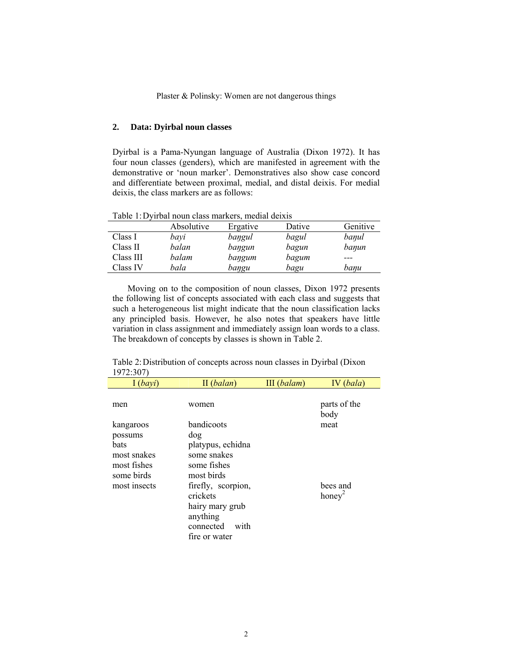### **2. Data: Dyirbal noun classes**

Dyirbal is a Pama-Nyungan language of Australia (Dixon 1972). It has four noun classes (genders), which are manifested in agreement with the demonstrative or 'noun marker'. Demonstratives also show case concord and differentiate between proximal, medial, and distal deixis. For medial deixis, the class markers are as follows:

Table 1: Dyirbal noun class markers, medial deixis

|           | Absolutive | Ergative | Dative | Genitive |
|-----------|------------|----------|--------|----------|
| Class I   | bavi       | bangul   | bagul  | baŋul    |
| Class II  | balan      | bangun   | bagun  | banun    |
| Class III | balam      | bangum   | bagum  | ---      |
| Class IV  | bala       | bangu    | bagu   | banu     |

Moving on to the composition of noun classes, Dixon 1972 presents the following list of concepts associated with each class and suggests that such a heterogeneous list might indicate that the noun classification lacks any principled basis. However, he also notes that speakers have little variation in class assignment and immediately assign loan words to a class. The breakdown of concepts by classes is shown in Table 2.

| I(bayi)      | $II$ (balan)       | $III$ (balam) | $IV$ (bala)          |
|--------------|--------------------|---------------|----------------------|
| men          | women              |               | parts of the<br>body |
| kangaroos    | bandicoots         |               | meat                 |
| possums      | dog                |               |                      |
| bats         | platypus, echidna  |               |                      |
| most snakes  | some snakes        |               |                      |
| most fishes  | some fishes        |               |                      |
| some birds   | most birds         |               |                      |
| most insects | firefly, scorpion, |               | bees and             |
|              | crickets           |               | honey <sup>2</sup>   |
|              | hairy mary grub    |               |                      |
|              | anything           |               |                      |
|              | connected<br>with  |               |                      |
|              | fire or water      |               |                      |

Table 2: Distribution of concepts across noun classes in Dyirbal (Dixon 1972:307)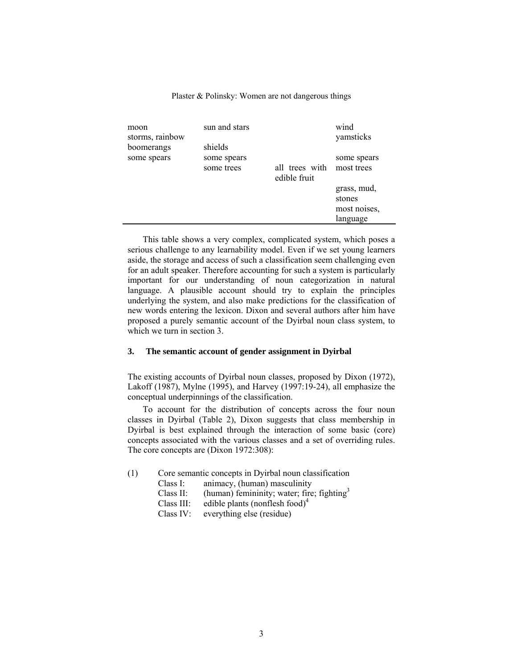| moon<br>storms, rainbow | sun and stars |                | wind<br>yamsticks |
|-------------------------|---------------|----------------|-------------------|
| boomerangs              | shields       |                |                   |
| some spears             | some spears   |                | some spears       |
|                         | some trees    | all trees with | most trees        |
|                         |               | edible fruit   |                   |
|                         |               |                | grass, mud,       |
|                         |               |                | stones            |
|                         |               |                | most noises,      |
|                         |               |                | language          |

This table shows a very complex, complicated system, which poses a serious challenge to any learnability model. Even if we set young learners aside, the storage and access of such a classification seem challenging even for an adult speaker. Therefore accounting for such a system is particularly important for our understanding of noun categorization in natural language. A plausible account should try to explain the principles underlying the system, and also make predictions for the classification of new words entering the lexicon. Dixon and several authors after him have proposed a purely semantic account of the Dyirbal noun class system, to which we turn in section 3.

## **3. The semantic account of gender assignment in Dyirbal**

The existing accounts of Dyirbal noun classes, proposed by Dixon (1972), Lakoff (1987), Mylne (1995), and Harvey (1997:19-24), all emphasize the conceptual underpinnings of the classification.

To account for the distribution of concepts across the four noun classes in Dyirbal (Table 2), Dixon suggests that class membership in Dyirbal is best explained through the interaction of some basic (core) concepts associated with the various classes and a set of overriding rules. The core concepts are (Dixon 1972:308):

| (1) | Core semantic concepts in Dyirbal noun classification |  |  |  |  |
|-----|-------------------------------------------------------|--|--|--|--|
|-----|-------------------------------------------------------|--|--|--|--|

| Class I:    | animacy, (human) masculinity |
|-------------|------------------------------|
| $Closs$ II. | $\int$                       |

- Class II: (human) femininity; water; fire; fighting $3$
- Class III: edible plants (nonflesh food) $<sup>4</sup>$ </sup>
- Class IV: everything else (residue)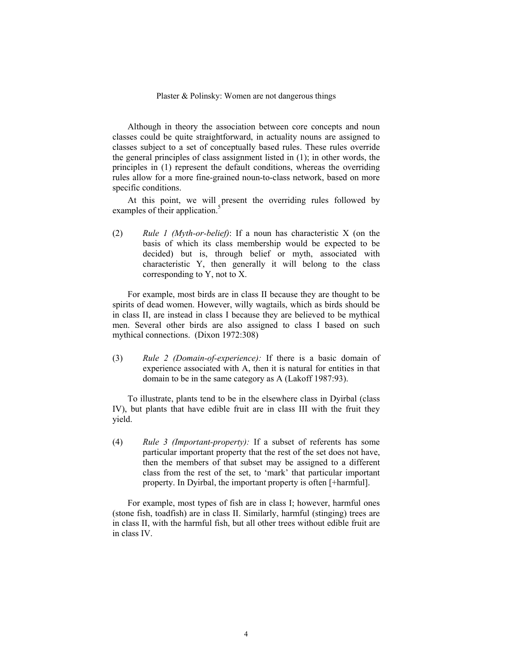Although in theory the association between core concepts and noun classes could be quite straightforward, in actuality nouns are assigned to classes subject to a set of conceptually based rules. These rules override the general principles of class assignment listed in (1); in other words, the principles in (1) represent the default conditions, whereas the overriding rules allow for a more fine-grained noun-to-class network, based on more specific conditions.

At this point, we will present the overriding rules followed by examples of their application.<sup>5</sup>

(2) *Rule 1 (Myth-or-belief)*: If a noun has characteristic X (on the basis of which its class membership would be expected to be decided) but is, through belief or myth, associated with characteristic Y, then generally it will belong to the class corresponding to Y, not to X.

For example, most birds are in class II because they are thought to be spirits of dead women. However, willy wagtails, which as birds should be in class II, are instead in class I because they are believed to be mythical men. Several other birds are also assigned to class I based on such mythical connections. (Dixon 1972:308)

(3) *Rule 2 (Domain-of-experience):* If there is a basic domain of experience associated with A, then it is natural for entities in that domain to be in the same category as A (Lakoff 1987:93).

To illustrate, plants tend to be in the elsewhere class in Dyirbal (class IV), but plants that have edible fruit are in class III with the fruit they yield.

(4) *Rule 3 (Important-property):* If a subset of referents has some particular important property that the rest of the set does not have, then the members of that subset may be assigned to a different class from the rest of the set, to 'mark' that particular important property. In Dyirbal, the important property is often [+harmful].

For example, most types of fish are in class I; however, harmful ones (stone fish, toadfish) are in class II. Similarly, harmful (stinging) trees are in class II, with the harmful fish, but all other trees without edible fruit are in class IV.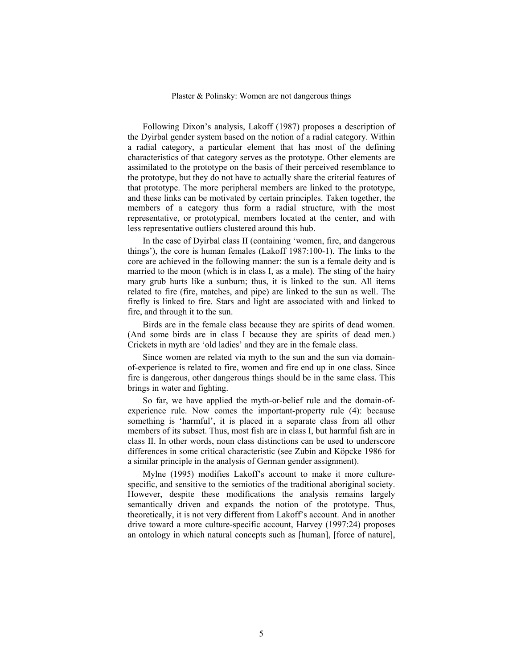Following Dixon's analysis, Lakoff (1987) proposes a description of the Dyirbal gender system based on the notion of a radial category. Within a radial category, a particular element that has most of the defining characteristics of that category serves as the prototype. Other elements are assimilated to the prototype on the basis of their perceived resemblance to the prototype, but they do not have to actually share the criterial features of that prototype. The more peripheral members are linked to the prototype, and these links can be motivated by certain principles. Taken together, the members of a category thus form a radial structure, with the most representative, or prototypical, members located at the center, and with less representative outliers clustered around this hub.

In the case of Dyirbal class II (containing 'women, fire, and dangerous things'), the core is human females (Lakoff 1987:100-1). The links to the core are achieved in the following manner: the sun is a female deity and is married to the moon (which is in class I, as a male). The sting of the hairy mary grub hurts like a sunburn; thus, it is linked to the sun. All items related to fire (fire, matches, and pipe) are linked to the sun as well. The firefly is linked to fire. Stars and light are associated with and linked to fire, and through it to the sun.

Birds are in the female class because they are spirits of dead women. (And some birds are in class I because they are spirits of dead men.) Crickets in myth are 'old ladies' and they are in the female class.

Since women are related via myth to the sun and the sun via domainof-experience is related to fire, women and fire end up in one class. Since fire is dangerous, other dangerous things should be in the same class. This brings in water and fighting.

So far, we have applied the myth-or-belief rule and the domain-ofexperience rule. Now comes the important-property rule (4): because something is 'harmful', it is placed in a separate class from all other members of its subset. Thus, most fish are in class I, but harmful fish are in class II. In other words, noun class distinctions can be used to underscore differences in some critical characteristic (see Zubin and Köpcke 1986 for a similar principle in the analysis of German gender assignment).

Mylne (1995) modifies Lakoff's account to make it more culturespecific, and sensitive to the semiotics of the traditional aboriginal society. However, despite these modifications the analysis remains largely semantically driven and expands the notion of the prototype. Thus, theoretically, it is not very different from Lakoff's account. And in another drive toward a more culture-specific account, Harvey (1997:24) proposes an ontology in which natural concepts such as [human], [force of nature],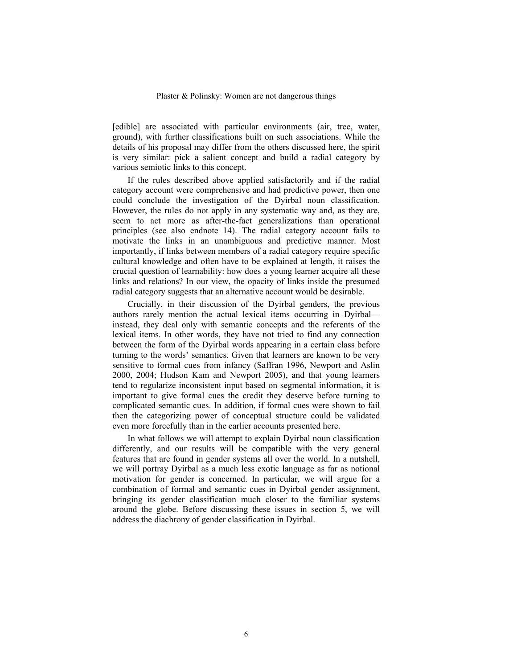[edible] are associated with particular environments (air, tree, water, ground), with further classifications built on such associations. While the details of his proposal may differ from the others discussed here, the spirit is very similar: pick a salient concept and build a radial category by various semiotic links to this concept.

If the rules described above applied satisfactorily and if the radial category account were comprehensive and had predictive power, then one could conclude the investigation of the Dyirbal noun classification. However, the rules do not apply in any systematic way and, as they are, seem to act more as after-the-fact generalizations than operational principles (see also endnote 14). The radial category account fails to motivate the links in an unambiguous and predictive manner. Most importantly, if links between members of a radial category require specific cultural knowledge and often have to be explained at length, it raises the crucial question of learnability: how does a young learner acquire all these links and relations? In our view, the opacity of links inside the presumed radial category suggests that an alternative account would be desirable.

Crucially, in their discussion of the Dyirbal genders, the previous authors rarely mention the actual lexical items occurring in Dyirbal instead, they deal only with semantic concepts and the referents of the lexical items. In other words, they have not tried to find any connection between the form of the Dyirbal words appearing in a certain class before turning to the words' semantics. Given that learners are known to be very sensitive to formal cues from infancy (Saffran 1996, Newport and Aslin 2000, 2004; Hudson Kam and Newport 2005), and that young learners tend to regularize inconsistent input based on segmental information, it is important to give formal cues the credit they deserve before turning to complicated semantic cues. In addition, if formal cues were shown to fail then the categorizing power of conceptual structure could be validated even more forcefully than in the earlier accounts presented here.

In what follows we will attempt to explain Dyirbal noun classification differently, and our results will be compatible with the very general features that are found in gender systems all over the world. In a nutshell, we will portray Dyirbal as a much less exotic language as far as notional motivation for gender is concerned. In particular, we will argue for a combination of formal and semantic cues in Dyirbal gender assignment, bringing its gender classification much closer to the familiar systems around the globe. Before discussing these issues in section 5, we will address the diachrony of gender classification in Dyirbal.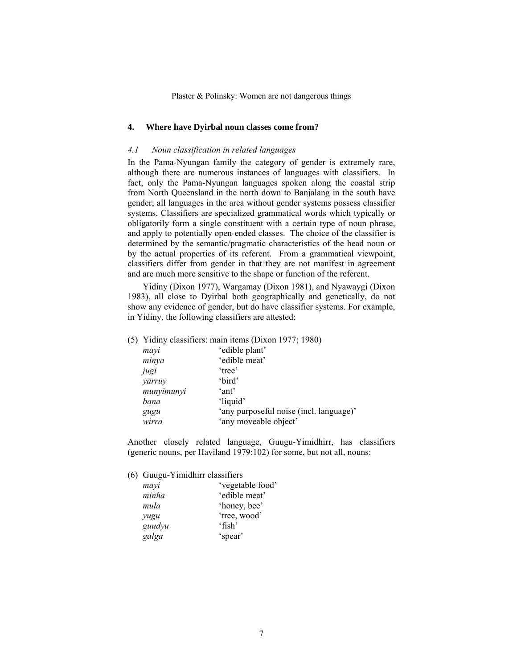### **4. Where have Dyirbal noun classes come from?**

# *4.1 Noun classification in related languages*

In the Pama-Nyungan family the category of gender is extremely rare, although there are numerous instances of languages with classifiers. In fact, only the Pama-Nyungan languages spoken along the coastal strip from North Queensland in the north down to Banjalang in the south have gender; all languages in the area without gender systems possess classifier systems. Classifiers are specialized grammatical words which typically or obligatorily form a single constituent with a certain type of noun phrase, and apply to potentially open-ended classes. The choice of the classifier is determined by the semantic/pragmatic characteristics of the head noun or by the actual properties of its referent. From a grammatical viewpoint, classifiers differ from gender in that they are not manifest in agreement and are much more sensitive to the shape or function of the referent.

Yidiny (Dixon 1977), Wargamay (Dixon 1981), and Nyawaygi (Dixon 1983), all close to Dyirbal both geographically and genetically, do not show any evidence of gender, but do have classifier systems. For example, in Yidiny, the following classifiers are attested:

|  |  |  |  |  |  | (5) Yidiny classifiers: main items (Dixon 1977; 1980) |  |
|--|--|--|--|--|--|-------------------------------------------------------|--|
|--|--|--|--|--|--|-------------------------------------------------------|--|

| mayi       | 'edible plant'                          |
|------------|-----------------------------------------|
| minya      | 'edible meat'                           |
| jugi       | 'tree'                                  |
| yarruy     | 'bird'                                  |
| munyimunyi | 'ant'                                   |
| bana       | 'liquid'                                |
| gugu       | 'any purposeful noise (incl. language)' |
| wirra      | 'any moveable object'                   |
|            |                                         |

Another closely related language, Guugu-Yimidhirr, has classifiers (generic nouns, per Haviland 1979:102) for some, but not all, nouns:

#### (6) Guugu-Yimidhirr classifiers

| mayi   | 'vegetable food' |
|--------|------------------|
| minha  | 'edible meat'    |
| mula   | 'honey, bee'     |
| yugu   | 'tree, wood'     |
| guudyu | 'fish'           |
| galga  | 'spear'          |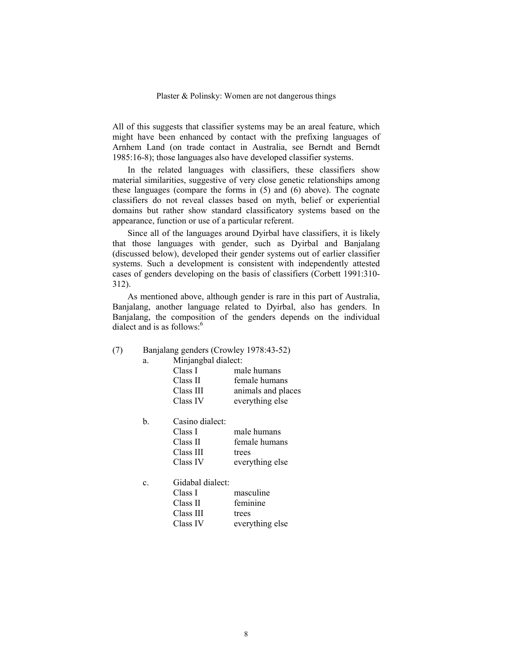All of this suggests that classifier systems may be an areal feature, which might have been enhanced by contact with the prefixing languages of Arnhem Land (on trade contact in Australia, see Berndt and Berndt 1985:16-8); those languages also have developed classifier systems.

In the related languages with classifiers, these classifiers show material similarities, suggestive of very close genetic relationships among these languages (compare the forms in (5) and (6) above). The cognate classifiers do not reveal classes based on myth, belief or experiential domains but rather show standard classificatory systems based on the appearance, function or use of a particular referent.

Since all of the languages around Dyirbal have classifiers, it is likely that those languages with gender, such as Dyirbal and Banjalang (discussed below), developed their gender systems out of earlier classifier systems. Such a development is consistent with independently attested cases of genders developing on the basis of classifiers (Corbett 1991:310- 312).

As mentioned above, although gender is rare in this part of Australia, Banjalang, another language related to Dyirbal, also has genders. In Banjalang, the composition of the genders depends on the individual dialect and is as follows:<sup>6</sup>

(7) Banjalang genders (Crowley 1978:43-52)

| a. | Minjangbal dialect: |  |
|----|---------------------|--|
|    |                     |  |

| Class I   | male humans        |
|-----------|--------------------|
| Class II  | female humans      |
| Class III | animals and places |
| Class IV  | everything else    |

b. Casino dialect:

| Class I   | male humans     |
|-----------|-----------------|
| Class II  | female humans   |
| Class III | trees           |
| Class IV  | everything else |

c. Gidabal dialect:

| Class I   | masculine       |
|-----------|-----------------|
| Class II  | feminine        |
| Class III | trees           |
| Class IV  | everything else |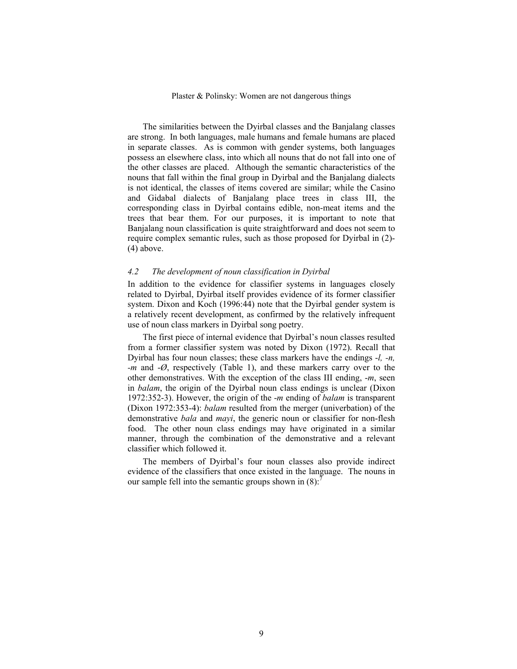The similarities between the Dyirbal classes and the Banjalang classes are strong. In both languages, male humans and female humans are placed in separate classes. As is common with gender systems, both languages possess an elsewhere class, into which all nouns that do not fall into one of the other classes are placed. Although the semantic characteristics of the nouns that fall within the final group in Dyirbal and the Banjalang dialects is not identical, the classes of items covered are similar; while the Casino and Gidabal dialects of Banjalang place trees in class III, the corresponding class in Dyirbal contains edible, non-meat items and the trees that bear them. For our purposes, it is important to note that Banjalang noun classification is quite straightforward and does not seem to require complex semantic rules, such as those proposed for Dyirbal in (2)- (4) above.

### *4.2 The development of noun classification in Dyirbal*

In addition to the evidence for classifier systems in languages closely related to Dyirbal, Dyirbal itself provides evidence of its former classifier system. Dixon and Koch (1996:44) note that the Dyirbal gender system is a relatively recent development, as confirmed by the relatively infrequent use of noun class markers in Dyirbal song poetry.

The first piece of internal evidence that Dyirbal's noun classes resulted from a former classifier system was noted by Dixon (1972). Recall that Dyirbal has four noun classes; these class markers have the endings -*l, -n, -m* and -*Ø*, respectively (Table 1), and these markers carry over to the other demonstratives. With the exception of the class III ending, -*m*, seen in *balam*, the origin of the Dyirbal noun class endings is unclear (Dixon 1972:352-3). However, the origin of the -*m* ending of *balam* is transparent (Dixon 1972:353-4): *balam* resulted from the merger (univerbation) of the demonstrative *bala* and *mayi*, the generic noun or classifier for non-flesh food. The other noun class endings may have originated in a similar manner, through the combination of the demonstrative and a relevant classifier which followed it.

The members of Dyirbal's four noun classes also provide indirect evidence of the classifiers that once existed in the language. The nouns in our sample fell into the semantic groups shown in  $(8)$ :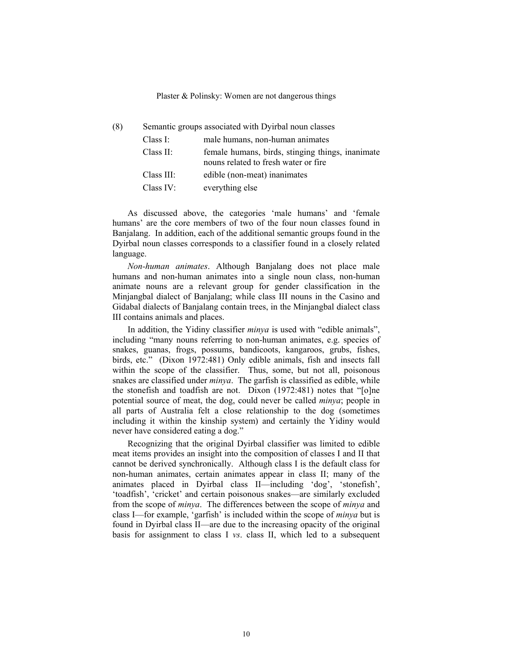(8) Semantic groups associated with Dyirbal noun classes Class I: male humans, non-human animates Class II: female humans, birds, stinging things, inanimate nouns related to fresh water or fire Class III: edible (non-meat) inanimates Class IV: everything else

As discussed above, the categories 'male humans' and 'female humans' are the core members of two of the four noun classes found in Banjalang. In addition, each of the additional semantic groups found in the Dyirbal noun classes corresponds to a classifier found in a closely related language.

*Non-human animates*. Although Banjalang does not place male humans and non-human animates into a single noun class, non-human animate nouns are a relevant group for gender classification in the Minjangbal dialect of Banjalang; while class III nouns in the Casino and Gidabal dialects of Banjalang contain trees, in the Minjangbal dialect class III contains animals and places.

In addition, the Yidiny classifier *minya* is used with "edible animals", including "many nouns referring to non-human animates, e.g. species of snakes, guanas, frogs, possums, bandicoots, kangaroos, grubs, fishes, birds, etc." (Dixon 1972:481) Only edible animals, fish and insects fall within the scope of the classifier. Thus, some, but not all, poisonous snakes are classified under *minya*. The garfish is classified as edible, while the stonefish and toadfish are not. Dixon (1972:481) notes that "[o]ne potential source of meat, the dog, could never be called *minya*; people in all parts of Australia felt a close relationship to the dog (sometimes including it within the kinship system) and certainly the Yidiny would never have considered eating a dog."

Recognizing that the original Dyirbal classifier was limited to edible meat items provides an insight into the composition of classes I and II that cannot be derived synchronically. Although class I is the default class for non-human animates, certain animates appear in class II; many of the animates placed in Dyirbal class II—including 'dog', 'stonefish', 'toadfish', 'cricket' and certain poisonous snakes—are similarly excluded from the scope of *minya*. The differences between the scope of *minya* and class I—for example, 'garfish' is included within the scope of *minya* but is found in Dyirbal class II—are due to the increasing opacity of the original basis for assignment to class I *vs*. class II, which led to a subsequent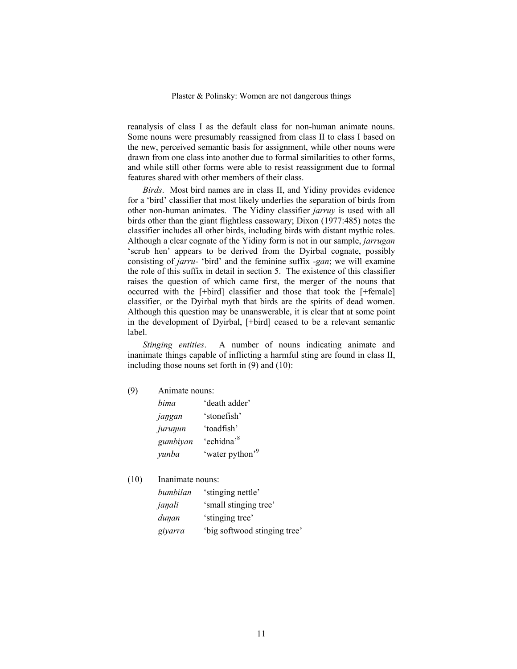reanalysis of class I as the default class for non-human animate nouns. Some nouns were presumably reassigned from class II to class I based on the new, perceived semantic basis for assignment, while other nouns were drawn from one class into another due to formal similarities to other forms, and while still other forms were able to resist reassignment due to formal features shared with other members of their class.

*Birds*. Most bird names are in class II, and Yidiny provides evidence for a 'bird' classifier that most likely underlies the separation of birds from other non-human animates. The Yidiny classifier *jarruy* is used with all birds other than the giant flightless cassowary; Dixon (1977:485) notes the classifier includes all other birds, including birds with distant mythic roles. Although a clear cognate of the Yidiny form is not in our sample, *jarrugan* 'scrub hen' appears to be derived from the Dyirbal cognate, possibly consisting of *jarru*- 'bird' and the feminine suffix -*gan*; we will examine the role of this suffix in detail in section 5. The existence of this classifier raises the question of which came first, the merger of the nouns that occurred with the [+bird] classifier and those that took the [+female] classifier, or the Dyirbal myth that birds are the spirits of dead women. Although this question may be unanswerable, it is clear that at some point in the development of Dyirbal, [+bird] ceased to be a relevant semantic label.

*Stinging entities*. A number of nouns indicating animate and inanimate things capable of inflicting a harmful sting are found in class II, including those nouns set forth in (9) and (10):

(9) Animate nouns:

| bima     | 'death adder'          |
|----------|------------------------|
| jangan   | 'stonefish'            |
| jurunun  | 'toadfish'             |
| gumbiyan | 'echidna' <sup>8</sup> |
| yunba    | 'water python'         |

### (10) Inanimate nouns:

| bumbilan | 'stinging nettle'            |
|----------|------------------------------|
| janali   | 'small stinging tree'        |
| dunan    | 'stinging tree'              |
| giyarra  | 'big softwood stinging tree' |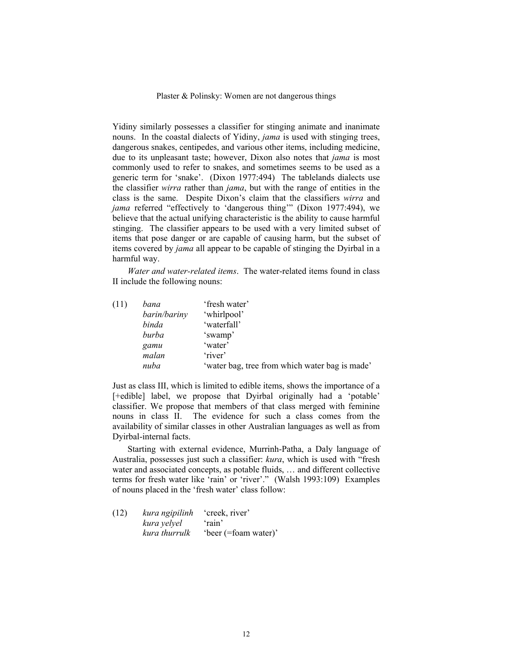Yidiny similarly possesses a classifier for stinging animate and inanimate nouns. In the coastal dialects of Yidiny, *jama* is used with stinging trees, dangerous snakes, centipedes, and various other items, including medicine, due to its unpleasant taste; however, Dixon also notes that *jama* is most commonly used to refer to snakes, and sometimes seems to be used as a generic term for 'snake'. (Dixon 1977:494) The tablelands dialects use the classifier *wirra* rather than *jama*, but with the range of entities in the class is the same. Despite Dixon's claim that the classifiers *wirra* and *jama* referred "effectively to 'dangerous thing'" (Dixon 1977:494), we believe that the actual unifying characteristic is the ability to cause harmful stinging. The classifier appears to be used with a very limited subset of items that pose danger or are capable of causing harm, but the subset of items covered by *jama* all appear to be capable of stinging the Dyirbal in a harmful way.

*Water and water-related items*. The water-related items found in class II include the following nouns:

| 'water bag, tree from which water bag is made' |
|------------------------------------------------|
|                                                |

Just as class III, which is limited to edible items, shows the importance of a [+edible] label, we propose that Dyirbal originally had a 'potable' classifier. We propose that members of that class merged with feminine nouns in class II. The evidence for such a class comes from the availability of similar classes in other Australian languages as well as from Dyirbal-internal facts.

Starting with external evidence, Murrinh-Patha, a Daly language of Australia, possesses just such a classifier: *kura*, which is used with "fresh water and associated concepts, as potable fluids, … and different collective terms for fresh water like 'rain' or 'river'." (Walsh 1993:109) Examples of nouns placed in the 'fresh water' class follow:

| (12) | kura ngipilinh | creek, river         |
|------|----------------|----------------------|
|      | kura yelyel    | 'rain'               |
|      | kura thurrulk  | 'beer (=foam water)' |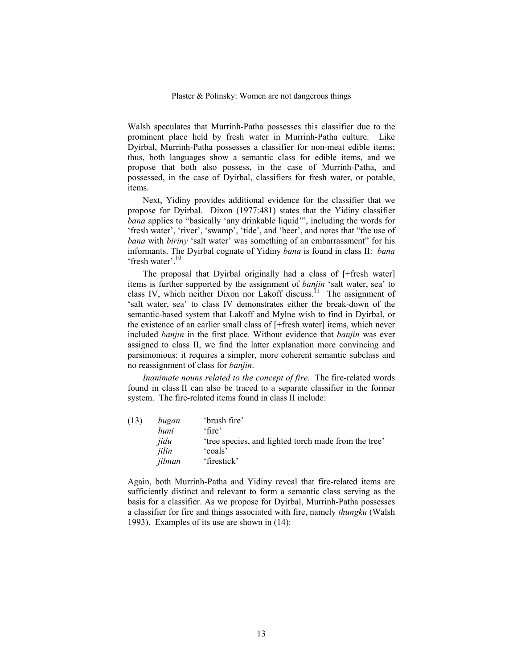Walsh speculates that Murrinh-Patha possesses this classifier due to the prominent place held by fresh water in Murrinh-Patha culture. Like Dyirbal, Murrinh-Patha possesses a classifier for non-meat edible items; thus, both languages show a semantic class for edible items, and we propose that both also possess, in the case of Murrinh-Patha, and possessed, in the case of Dyirbal, classifiers for fresh water, or potable, items.

Next, Yidiny provides additional evidence for the classifier that we propose for Dyirbal. Dixon (1977:481) states that the Yidiny classifier *bana* applies to "basically 'any drinkable liquid'", including the words for 'fresh water', 'river', 'swamp', 'tide', and 'beer', and notes that "the use of *bana* with *biriny* 'salt water' was something of an embarrassment" for his informants. The Dyirbal cognate of Yidiny *bana* is found in class II: *bana* 'fresh water'.<sup>10</sup>

The proposal that Dyirbal originally had a class of [+fresh water] items is further supported by the assignment of *banjin* 'salt water, sea' to class IV, which neither Dixon nor Lakoff discuss.<sup>11</sup> The assignment of 'salt water, sea' to class IV demonstrates either the break-down of the semantic-based system that Lakoff and Mylne wish to find in Dyirbal, or the existence of an earlier small class of [+fresh water] items, which never included *banjin* in the first place. Without evidence that *banjin* was ever assigned to class II, we find the latter explanation more convincing and parsimonious: it requires a simpler, more coherent semantic subclass and no reassignment of class for *banjin*.

*Inanimate nouns related to the concept of fire*. The fire-related words found in class II can also be traced to a separate classifier in the former system. The fire-related items found in class II include:

| (13) | bugan  | 'brush fire'                                        |
|------|--------|-----------------------------------------------------|
|      | buni   | 'fire'                                              |
|      | jidu   | tree species, and lighted torch made from the tree' |
|      | jilin  | 'coals'                                             |
|      | jilman | 'firestick'                                         |

Again, both Murrinh-Patha and Yidiny reveal that fire-related items are sufficiently distinct and relevant to form a semantic class serving as the basis for a classifier. As we propose for Dyirbal, Murrinh-Patha possesses a classifier for fire and things associated with fire, namely *thungku* (Walsh 1993). Examples of its use are shown in (14):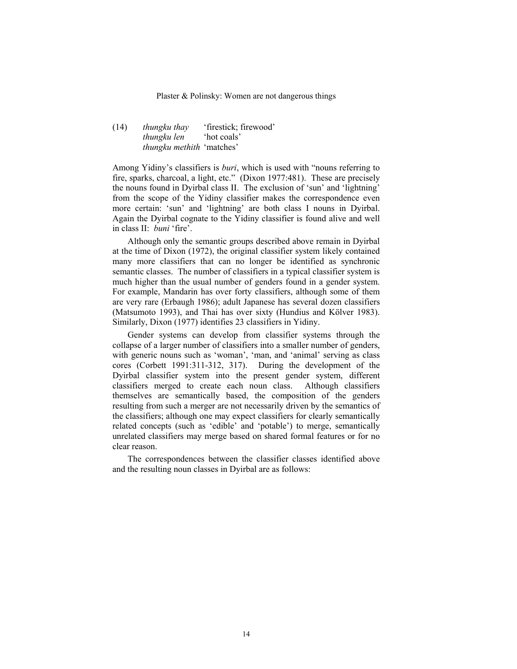# (14) *thungku thay* 'firestick; firewood' *thungku len* 'hot coals' *thungku methith* 'matches'

Among Yidiny's classifiers is *buri*, which is used with "nouns referring to fire, sparks, charcoal, a light, etc." (Dixon 1977:481). These are precisely the nouns found in Dyirbal class II. The exclusion of 'sun' and 'lightning' from the scope of the Yidiny classifier makes the correspondence even more certain: 'sun' and 'lightning' are both class I nouns in Dyirbal. Again the Dyirbal cognate to the Yidiny classifier is found alive and well in class II: *buni* 'fire'.

Although only the semantic groups described above remain in Dyirbal at the time of Dixon (1972), the original classifier system likely contained many more classifiers that can no longer be identified as synchronic semantic classes. The number of classifiers in a typical classifier system is much higher than the usual number of genders found in a gender system. For example, Mandarin has over forty classifiers, although some of them are very rare (Erbaugh 1986); adult Japanese has several dozen classifiers (Matsumoto 1993), and Thai has over sixty (Hundius and Kölver 1983). Similarly, Dixon (1977) identifies 23 classifiers in Yidiny.

Gender systems can develop from classifier systems through the collapse of a larger number of classifiers into a smaller number of genders, with generic nouns such as 'woman', 'man, and 'animal' serving as class cores (Corbett 1991:311-312, 317). During the development of the Dyirbal classifier system into the present gender system, different classifiers merged to create each noun class. Although classifiers themselves are semantically based, the composition of the genders resulting from such a merger are not necessarily driven by the semantics of the classifiers; although one may expect classifiers for clearly semantically related concepts (such as 'edible' and 'potable') to merge, semantically unrelated classifiers may merge based on shared formal features or for no clear reason.

The correspondences between the classifier classes identified above and the resulting noun classes in Dyirbal are as follows: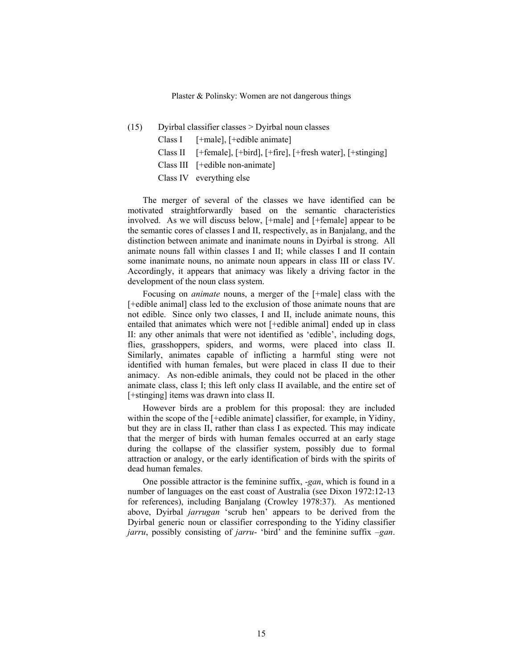(15) Dyirbal classifier classes > Dyirbal noun classes

Class I [+male], [+edible animate]

Class II [+female], [+bird], [+fire], [+fresh water], [+stinging]

Class III [+edible non-animate]

Class IV everything else

The merger of several of the classes we have identified can be motivated straightforwardly based on the semantic characteristics involved. As we will discuss below, [+male] and [+female] appear to be the semantic cores of classes I and II, respectively, as in Banjalang, and the distinction between animate and inanimate nouns in Dyirbal is strong. All animate nouns fall within classes I and II; while classes I and II contain some inanimate nouns, no animate noun appears in class III or class IV. Accordingly, it appears that animacy was likely a driving factor in the development of the noun class system.

Focusing on *animate* nouns, a merger of the [+male] class with the [+edible animal] class led to the exclusion of those animate nouns that are not edible. Since only two classes, I and II, include animate nouns, this entailed that animates which were not [+edible animal] ended up in class II: any other animals that were not identified as 'edible', including dogs, flies, grasshoppers, spiders, and worms, were placed into class II. Similarly, animates capable of inflicting a harmful sting were not identified with human females, but were placed in class II due to their animacy. As non-edible animals, they could not be placed in the other animate class, class I; this left only class II available, and the entire set of [+stinging] items was drawn into class II.

However birds are a problem for this proposal: they are included within the scope of the [+edible animate] classifier, for example, in Yidiny, but they are in class II, rather than class I as expected. This may indicate that the merger of birds with human females occurred at an early stage during the collapse of the classifier system, possibly due to formal attraction or analogy, or the early identification of birds with the spirits of dead human females.

One possible attractor is the feminine suffix, -*gan*, which is found in a number of languages on the east coast of Australia (see Dixon 1972:12-13 for references), including Banjalang (Crowley 1978:37). As mentioned above, Dyirbal *jarrugan* 'scrub hen' appears to be derived from the Dyirbal generic noun or classifier corresponding to the Yidiny classifier *jarru*, possibly consisting of *jarru*- 'bird' and the feminine suffix –*gan*.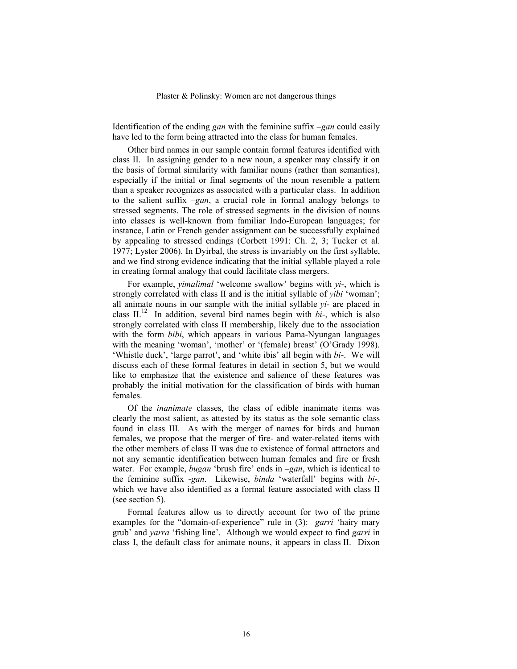Identification of the ending *gan* with the feminine suffix –*gan* could easily have led to the form being attracted into the class for human females.

Other bird names in our sample contain formal features identified with class II. In assigning gender to a new noun, a speaker may classify it on the basis of formal similarity with familiar nouns (rather than semantics), especially if the initial or final segments of the noun resemble a pattern than a speaker recognizes as associated with a particular class. In addition to the salient suffix –*gan*, a crucial role in formal analogy belongs to stressed segments. The role of stressed segments in the division of nouns into classes is well-known from familiar Indo-European languages; for instance, Latin or French gender assignment can be successfully explained by appealing to stressed endings (Corbett 1991: Ch. 2, 3; Tucker et al. 1977; Lyster 2006). In Dyirbal, the stress is invariably on the first syllable, and we find strong evidence indicating that the initial syllable played a role in creating formal analogy that could facilitate class mergers.

For example, *yimalimal* 'welcome swallow' begins with *yi*-, which is strongly correlated with class II and is the initial syllable of *yibi* 'woman'; all animate nouns in our sample with the initial syllable *yi*- are placed in class  $II<sup>12</sup>$  In addition, several bird names begin with *bi-*, which is also strongly correlated with class II membership, likely due to the association with the form *bibi*, which appears in various Pama-Nyungan languages with the meaning 'woman', 'mother' or '(female) breast' (O'Grady 1998). 'Whistle duck', 'large parrot', and 'white ibis' all begin with *bi*-. We will discuss each of these formal features in detail in section 5, but we would like to emphasize that the existence and salience of these features was probably the initial motivation for the classification of birds with human females.

Of the *inanimate* classes, the class of edible inanimate items was clearly the most salient, as attested by its status as the sole semantic class found in class III. As with the merger of names for birds and human females, we propose that the merger of fire- and water-related items with the other members of class II was due to existence of formal attractors and not any semantic identification between human females and fire or fresh water. For example, *bugan* 'brush fire' ends in –*gan*, which is identical to the feminine suffix *-gan*. Likewise, *binda* 'waterfall' begins with *bi*-, which we have also identified as a formal feature associated with class II (see section 5).

Formal features allow us to directly account for two of the prime examples for the "domain-of-experience" rule in (3): *garri* 'hairy mary grub' and *yarra* 'fishing line'. Although we would expect to find *garri* in class I, the default class for animate nouns, it appears in class II. Dixon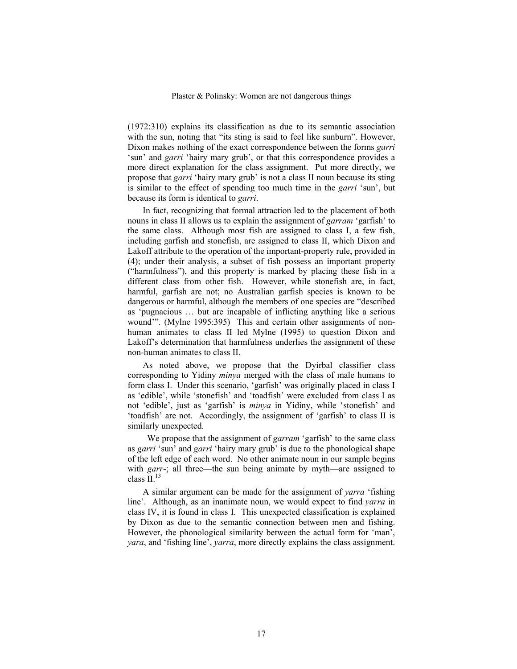(1972:310) explains its classification as due to its semantic association with the sun, noting that "its sting is said to feel like sunburn". However, Dixon makes nothing of the exact correspondence between the forms *garri* 'sun' and *garri* 'hairy mary grub', or that this correspondence provides a more direct explanation for the class assignment. Put more directly, we propose that *garri* 'hairy mary grub' is not a class II noun because its sting is similar to the effect of spending too much time in the *garri* 'sun', but because its form is identical to *garri*.

In fact, recognizing that formal attraction led to the placement of both nouns in class II allows us to explain the assignment of *garram* 'garfish' to the same class. Although most fish are assigned to class I, a few fish, including garfish and stonefish, are assigned to class II, which Dixon and Lakoff attribute to the operation of the important-property rule, provided in (4); under their analysis, a subset of fish possess an important property ("harmfulness"), and this property is marked by placing these fish in a different class from other fish. However, while stonefish are, in fact, harmful, garfish are not; no Australian garfish species is known to be dangerous or harmful, although the members of one species are "described as 'pugnacious … but are incapable of inflicting anything like a serious wound'". (Mylne 1995:395) This and certain other assignments of nonhuman animates to class II led Mylne (1995) to question Dixon and Lakoff's determination that harmfulness underlies the assignment of these non-human animates to class II.

As noted above, we propose that the Dyirbal classifier class corresponding to Yidiny *minya* merged with the class of male humans to form class I. Under this scenario, 'garfish' was originally placed in class I as 'edible', while 'stonefish' and 'toadfish' were excluded from class I as not 'edible', just as 'garfish' is *minya* in Yidiny, while 'stonefish' and 'toadfish' are not. Accordingly, the assignment of 'garfish' to class II is similarly unexpected.

 We propose that the assignment of *garram* 'garfish' to the same class as *garri* 'sun' and *garri* 'hairy mary grub' is due to the phonological shape of the left edge of each word. No other animate noun in our sample begins with *garr*-; all three—the sun being animate by myth—are assigned to class  $\overline{II}$ <sup>13</sup>

A similar argument can be made for the assignment of *yarra* 'fishing line'. Although, as an inanimate noun, we would expect to find *yarra* in class IV, it is found in class I. This unexpected classification is explained by Dixon as due to the semantic connection between men and fishing. However, the phonological similarity between the actual form for 'man', *yara*, and 'fishing line', *yarra*, more directly explains the class assignment.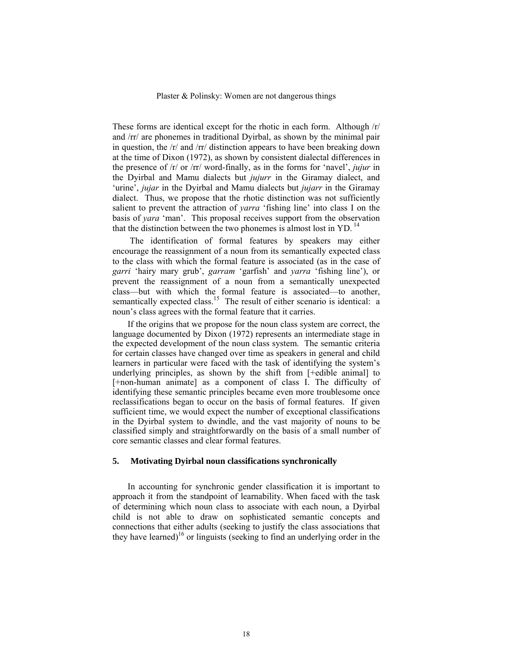These forms are identical except for the rhotic in each form. Although /r/ and /rr/ are phonemes in traditional Dyirbal, as shown by the minimal pair in question, the /r/ and /rr/ distinction appears to have been breaking down at the time of Dixon (1972), as shown by consistent dialectal differences in the presence of /r/ or /rr/ word-finally, as in the forms for 'navel', *jujur* in the Dyirbal and Mamu dialects but *jujurr* in the Giramay dialect, and 'urine', *jujar* in the Dyirbal and Mamu dialects but *jujarr* in the Giramay dialect. Thus, we propose that the rhotic distinction was not sufficiently salient to prevent the attraction of *yarra* 'fishing line' into class I on the basis of *yara* 'man'. This proposal receives support from the observation that the distinction between the two phonemes is almost lost in YD.<sup>14</sup>

 The identification of formal features by speakers may either encourage the reassignment of a noun from its semantically expected class to the class with which the formal feature is associated (as in the case of *garri* 'hairy mary grub', *garram* 'garfish' and *yarra* 'fishing line'), or prevent the reassignment of a noun from a semantically unexpected class—but with which the formal feature is associated—to another, semantically expected class.<sup>15</sup> The result of either scenario is identical: a noun's class agrees with the formal feature that it carries.

If the origins that we propose for the noun class system are correct, the language documented by Dixon (1972) represents an intermediate stage in the expected development of the noun class system. The semantic criteria for certain classes have changed over time as speakers in general and child learners in particular were faced with the task of identifying the system's underlying principles, as shown by the shift from [+edible animal] to [+non-human animate] as a component of class I. The difficulty of identifying these semantic principles became even more troublesome once reclassifications began to occur on the basis of formal features. If given sufficient time, we would expect the number of exceptional classifications in the Dyirbal system to dwindle, and the vast majority of nouns to be classified simply and straightforwardly on the basis of a small number of core semantic classes and clear formal features.

### **5. Motivating Dyirbal noun classifications synchronically**

In accounting for synchronic gender classification it is important to approach it from the standpoint of learnability. When faced with the task of determining which noun class to associate with each noun, a Dyirbal child is not able to draw on sophisticated semantic concepts and connections that either adults (seeking to justify the class associations that they have learned)<sup>16</sup> or linguists (seeking to find an underlying order in the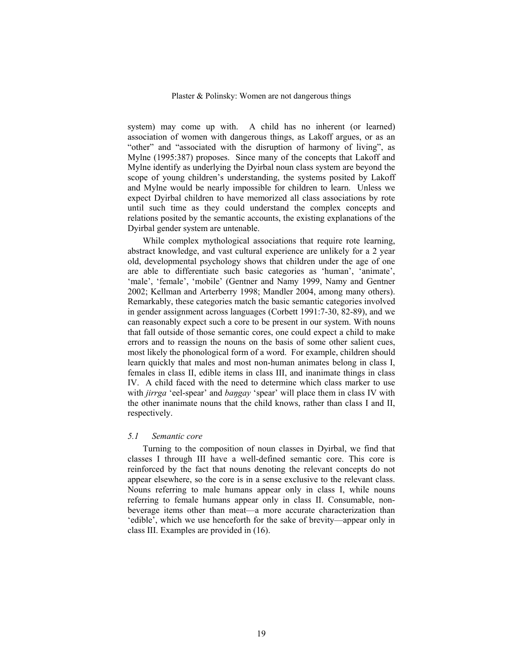system) may come up with. A child has no inherent (or learned) association of women with dangerous things, as Lakoff argues, or as an "other" and "associated with the disruption of harmony of living", as Mylne (1995:387) proposes. Since many of the concepts that Lakoff and Mylne identify as underlying the Dyirbal noun class system are beyond the scope of young children's understanding, the systems posited by Lakoff and Mylne would be nearly impossible for children to learn. Unless we expect Dyirbal children to have memorized all class associations by rote until such time as they could understand the complex concepts and relations posited by the semantic accounts, the existing explanations of the Dyirbal gender system are untenable.

While complex mythological associations that require rote learning, abstract knowledge, and vast cultural experience are unlikely for a 2 year old, developmental psychology shows that children under the age of one are able to differentiate such basic categories as 'human', 'animate', 'male', 'female', 'mobile' (Gentner and Namy 1999, Namy and Gentner 2002; Kellman and Arterberry 1998; Mandler 2004, among many others). Remarkably, these categories match the basic semantic categories involved in gender assignment across languages (Corbett 1991:7-30, 82-89), and we can reasonably expect such a core to be present in our system. With nouns that fall outside of those semantic cores, one could expect a child to make errors and to reassign the nouns on the basis of some other salient cues, most likely the phonological form of a word. For example, children should learn quickly that males and most non-human animates belong in class I, females in class II, edible items in class III, and inanimate things in class IV. A child faced with the need to determine which class marker to use with *jirrga* 'eel-spear' and *baŋgay* 'spear' will place them in class IV with the other inanimate nouns that the child knows, rather than class I and II, respectively.

### *5.1 Semantic core*

 Turning to the composition of noun classes in Dyirbal, we find that classes I through III have a well-defined semantic core. This core is reinforced by the fact that nouns denoting the relevant concepts do not appear elsewhere, so the core is in a sense exclusive to the relevant class. Nouns referring to male humans appear only in class I, while nouns referring to female humans appear only in class II. Consumable, nonbeverage items other than meat—a more accurate characterization than 'edible', which we use henceforth for the sake of brevity—appear only in class III. Examples are provided in (16).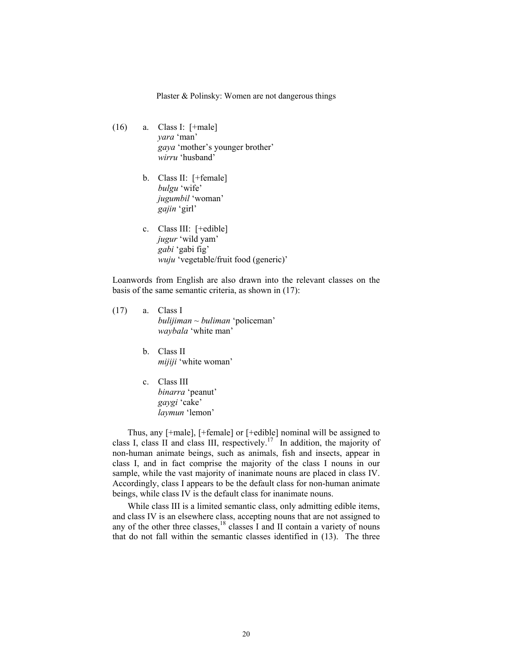- (16) a. Class I: [+male] *yara* 'man' *gaya* 'mother's younger brother' *wirru* 'husband'
	- b. Class II: [+female] *bulgu* 'wife' *jugumbil* 'woman' *gajin* 'girl'
	- c. Class III: [+edible] *jugur* 'wild yam' *gabi* 'gabi fig' *wuju* 'vegetable/fruit food (generic)'

Loanwords from English are also drawn into the relevant classes on the basis of the same semantic criteria, as shown in (17):

- (17) a. Class I *bulijiman ~ buliman* 'policeman' *waybala* 'white man'
	- b. Class II *mijiji* 'white woman'
	- c. Class III *binarra* 'peanut' *gaygi* 'cake' *laymun* 'lemon'

Thus, any [+male], [+female] or [+edible] nominal will be assigned to class I, class II and class III, respectively.<sup>17</sup> In addition, the majority of non-human animate beings, such as animals, fish and insects, appear in class I, and in fact comprise the majority of the class I nouns in our sample, while the vast majority of inanimate nouns are placed in class IV. Accordingly, class I appears to be the default class for non-human animate beings, while class IV is the default class for inanimate nouns.

While class III is a limited semantic class, only admitting edible items, and class IV is an elsewhere class, accepting nouns that are not assigned to any of the other three classes, $18$  classes I and II contain a variety of nouns that do not fall within the semantic classes identified in (13). The three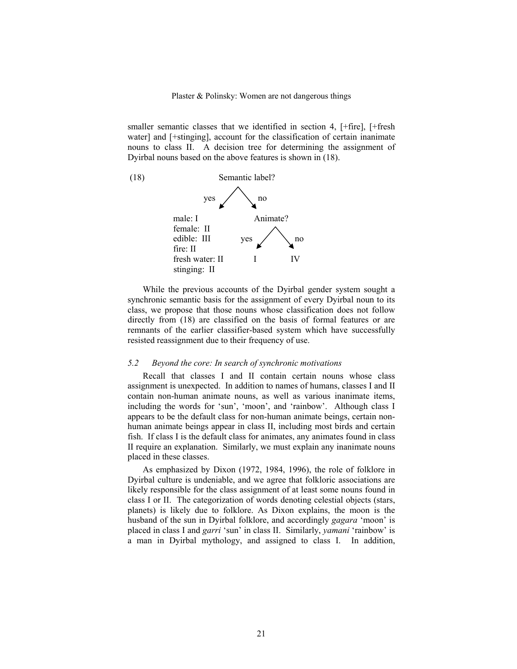smaller semantic classes that we identified in section 4, [+fire], [+fresh water] and [+stinging], account for the classification of certain inanimate nouns to class II. A decision tree for determining the assignment of Dyirbal nouns based on the above features is shown in (18).



While the previous accounts of the Dyirbal gender system sought a synchronic semantic basis for the assignment of every Dyirbal noun to its class, we propose that those nouns whose classification does not follow directly from (18) are classified on the basis of formal features or are remnants of the earlier classifier-based system which have successfully resisted reassignment due to their frequency of use.

### *5.2 Beyond the core: In search of synchronic motivations*

Recall that classes I and II contain certain nouns whose class assignment is unexpected. In addition to names of humans, classes I and II contain non-human animate nouns, as well as various inanimate items, including the words for 'sun', 'moon', and 'rainbow'. Although class I appears to be the default class for non-human animate beings, certain nonhuman animate beings appear in class II, including most birds and certain fish. If class I is the default class for animates, any animates found in class II require an explanation. Similarly, we must explain any inanimate nouns placed in these classes.

As emphasized by Dixon (1972, 1984, 1996), the role of folklore in Dyirbal culture is undeniable, and we agree that folkloric associations are likely responsible for the class assignment of at least some nouns found in class I or II. The categorization of words denoting celestial objects (stars, planets) is likely due to folklore. As Dixon explains, the moon is the husband of the sun in Dyirbal folklore, and accordingly *gagara* 'moon' is placed in class I and *garri* 'sun' in class II. Similarly, *yamani* 'rainbow' is a man in Dyirbal mythology, and assigned to class I. In addition,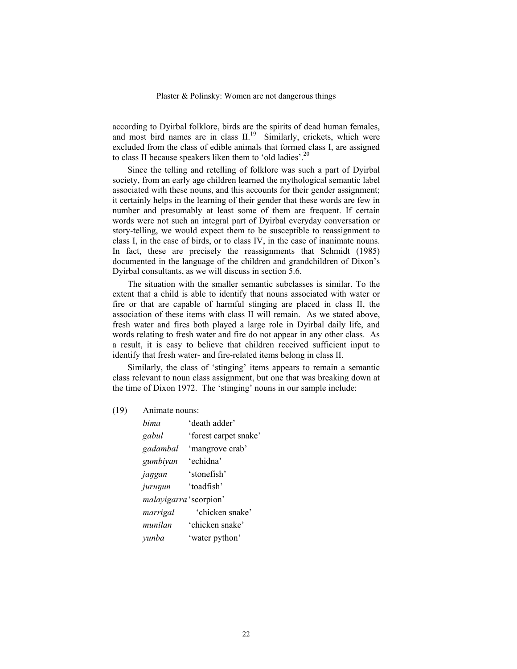according to Dyirbal folklore, birds are the spirits of dead human females, and most bird names are in class  $II<sup>19</sup>$  Similarly, crickets, which were excluded from the class of edible animals that formed class I, are assigned to class II because speakers liken them to 'old ladies'.<sup>20</sup>

Since the telling and retelling of folklore was such a part of Dyirbal society, from an early age children learned the mythological semantic label associated with these nouns, and this accounts for their gender assignment; it certainly helps in the learning of their gender that these words are few in number and presumably at least some of them are frequent. If certain words were not such an integral part of Dyirbal everyday conversation or story-telling, we would expect them to be susceptible to reassignment to class I, in the case of birds, or to class IV, in the case of inanimate nouns. In fact, these are precisely the reassignments that Schmidt (1985) documented in the language of the children and grandchildren of Dixon's Dyirbal consultants, as we will discuss in section 5.6.

The situation with the smaller semantic subclasses is similar. To the extent that a child is able to identify that nouns associated with water or fire or that are capable of harmful stinging are placed in class II, the association of these items with class II will remain. As we stated above, fresh water and fires both played a large role in Dyirbal daily life, and words relating to fresh water and fire do not appear in any other class. As a result, it is easy to believe that children received sufficient input to identify that fresh water- and fire-related items belong in class II.

Similarly, the class of 'stinging' items appears to remain a semantic class relevant to noun class assignment, but one that was breaking down at the time of Dixon 1972. The 'stinging' nouns in our sample include:

(19) Animate nouns:

| hima                          | 'death adder'         |
|-------------------------------|-----------------------|
| gabul                         | 'forest carpet snake' |
| gadambal                      | 'mangrove crab'       |
| gumbiyan                      | 'echidna'             |
| jangan                        | 'stonefish'           |
| jurunun                       | 'toadfish'            |
| <i>malayigarra</i> 'scorpion' |                       |
| marrigal                      | 'chicken snake'       |
| munilan                       | 'chicken snake'       |
| vunba                         | 'water python'        |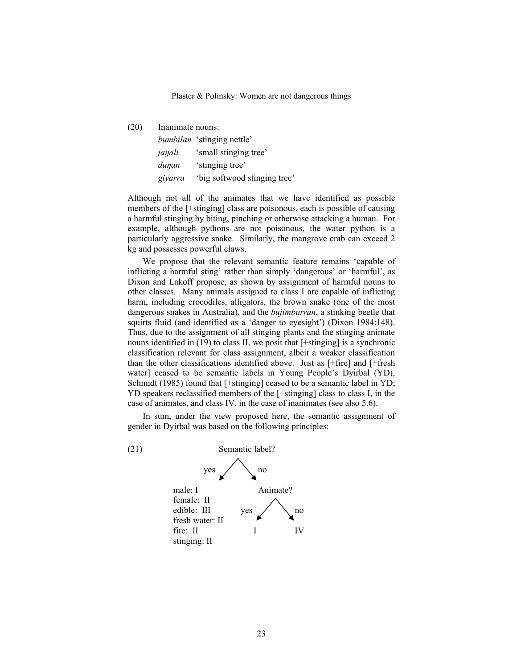(20) Inanimate nouns:

|         | <i>bumbilan</i> 'stinging nettle' |
|---------|-----------------------------------|
| janali  | 'small stinging tree'             |
| dunan   | 'stinging tree'                   |
| giyarra | 'big softwood stinging tree'      |

Although not all of the animates that we have identified as possible members of the [+stinging] class are poisonous, each is possible of causing a harmful stinging by biting, pinching or otherwise attacking a human. For example, although pythons are not poisonous, the water python is a particularly aggressive snake. Similarly, the mangrove crab can exceed 2 kg and possesses powerful claws.

We propose that the relevant semantic feature remains 'capable of inflicting a harmful sting' rather than simply 'dangerous' or 'harmful', as Dixon and Lakoff propose, as shown by assignment of harmful nouns to other classes. Many animals assigned to class I are capable of inflicting harm, including crocodiles, alligators, the brown snake (one of the most dangerous snakes in Australia), and the *bujimburran*, a stinking beetle that squirts fluid (and identified as a 'danger to eyesight') (Dixon 1984:148). Thus, due to the assignment of all stinging plants and the stinging animate nouns identified in (19) to class II, we posit that [+stinging] is a synchronic classification relevant for class assignment, albeit a weaker classification than the other classifications identified above. Just as [+fire] and [+fresh water] ceased to be semantic labels in Young People's Dyirbal (YD), Schmidt (1985) found that [+stinging] ceased to be a semantic label in YD; YD speakers reclassified members of the [+stinging] class to class I, in the case of animates, and class IV, in the case of inanimates (see also 5.6).

In sum, under the view proposed here, the semantic assignment of gender in Dyirbal was based on the following principles:



23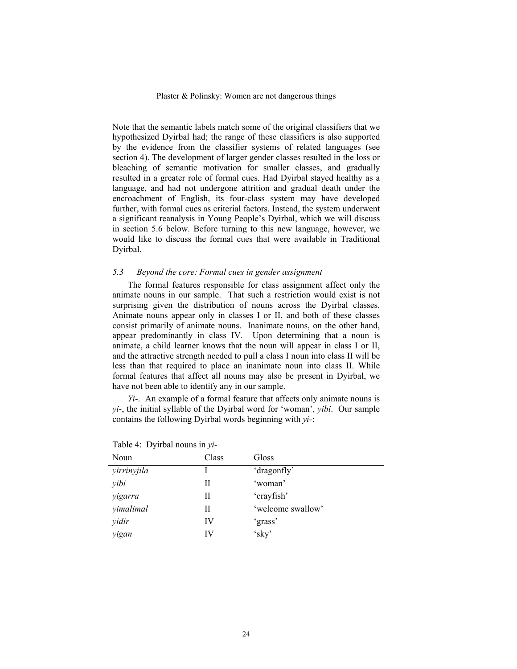Note that the semantic labels match some of the original classifiers that we hypothesized Dyirbal had; the range of these classifiers is also supported by the evidence from the classifier systems of related languages (see section 4). The development of larger gender classes resulted in the loss or bleaching of semantic motivation for smaller classes, and gradually resulted in a greater role of formal cues. Had Dyirbal stayed healthy as a language, and had not undergone attrition and gradual death under the encroachment of English, its four-class system may have developed further, with formal cues as criterial factors. Instead, the system underwent a significant reanalysis in Young People's Dyirbal, which we will discuss in section 5.6 below. Before turning to this new language, however, we would like to discuss the formal cues that were available in Traditional Dyirbal.

### *5.3 Beyond the core: Formal cues in gender assignment*

The formal features responsible for class assignment affect only the animate nouns in our sample. That such a restriction would exist is not surprising given the distribution of nouns across the Dyirbal classes. Animate nouns appear only in classes I or II, and both of these classes consist primarily of animate nouns. Inanimate nouns, on the other hand, appear predominantly in class IV. Upon determining that a noun is animate, a child learner knows that the noun will appear in class I or II, and the attractive strength needed to pull a class I noun into class II will be less than that required to place an inanimate noun into class II. While formal features that affect all nouns may also be present in Dyirbal, we have not been able to identify any in our sample.

*Yi-*. An example of a formal feature that affects only animate nouns is *yi*-, the initial syllable of the Dyirbal word for 'woman', *yibi*. Our sample contains the following Dyirbal words beginning with *yi*-:

| Noun        | Class | Gloss             |
|-------------|-------|-------------------|
| yirrinyjila |       | 'dragonfly'       |
| yibi        | П     | 'woman'           |
| yigarra     | П     | 'crayfish'        |
| yimalimal   | П     | 'welcome swallow' |
| yidir       | IV    | 'grass'           |
| yigan       | IV    | 'sky'             |
|             |       |                   |

Table 4: Dyirbal nouns in *yi*-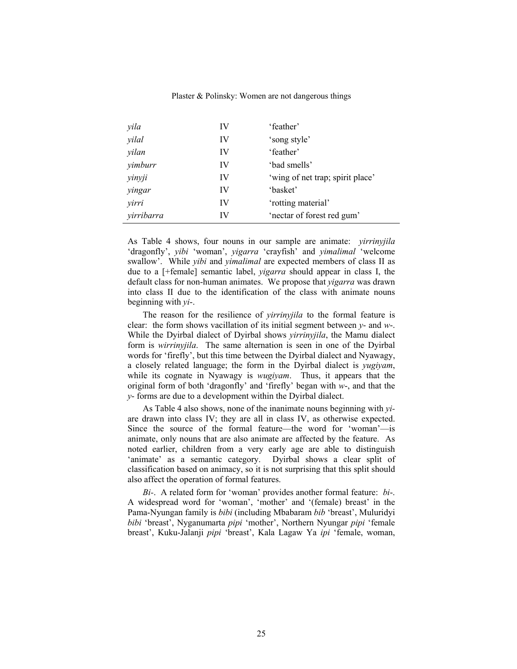| yila       | IV | 'feather'                        |
|------------|----|----------------------------------|
| yilal      | IV | 'song style'                     |
| yilan      | IV | 'feather'                        |
| yimburr    | IV | 'bad smells'                     |
| yinyji     | IV | 'wing of net trap; spirit place' |
| yingar     | IV | 'basket'                         |
| yirri      | IV | 'rotting material'               |
| yirribarra | IV | 'nectar of forest red gum'       |

As Table 4 shows, four nouns in our sample are animate: *yirrinyjila* 'dragonfly', *yibi* 'woman', *yigarra* 'crayfish' and *yimalimal* 'welcome swallow'. While *yibi* and *yimalimal* are expected members of class II as due to a [+female] semantic label, *yigarra* should appear in class I, the default class for non-human animates. We propose that *yigarra* was drawn into class II due to the identification of the class with animate nouns beginning with *yi*-.

The reason for the resilience of *yirrinyjila* to the formal feature is clear: the form shows vacillation of its initial segment between *y*- and *w*-. While the Dyirbal dialect of Dyirbal shows *yirrinyjila*, the Mamu dialect form is *wirrinyjila*. The same alternation is seen in one of the Dyirbal words for 'firefly', but this time between the Dyirbal dialect and Nyawagy, a closely related language; the form in the Dyirbal dialect is *yugiyam*, while its cognate in Nyawagy is *wugiyam*. Thus, it appears that the original form of both 'dragonfly' and 'firefly' began with *w*-, and that the *y*- forms are due to a development within the Dyirbal dialect.

As Table 4 also shows, none of the inanimate nouns beginning with *yi*are drawn into class IV; they are all in class IV, as otherwise expected. Since the source of the formal feature—the word for 'woman'—is animate, only nouns that are also animate are affected by the feature. As noted earlier, children from a very early age are able to distinguish 'animate' as a semantic category. Dyirbal shows a clear split of classification based on animacy, so it is not surprising that this split should also affect the operation of formal features.

*Bi-*. A related form for 'woman' provides another formal feature: *bi*-. A widespread word for 'woman', 'mother' and '(female) breast' in the Pama-Nyungan family is *bibi* (including Mbabaram *bib* 'breast', Muluridyi *bibi* 'breast', Nyganumarta *pipi* 'mother', Northern Nyungar *pipi* 'female breast', Kuku-Jalanji *pipi* 'breast', Kala Lagaw Ya *ipi* 'female, woman,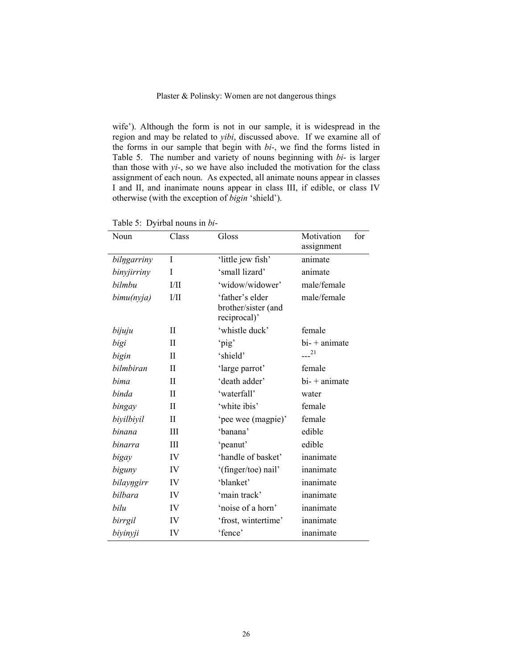wife'). Although the form is not in our sample, it is widespread in the region and may be related to *yibi*, discussed above. If we examine all of the forms in our sample that begin with *bi*-, we find the forms listed in Table 5. The number and variety of nouns beginning with *bi*- is larger than those with *yi*-, so we have also included the motivation for the class assignment of each noun. As expected, all animate nouns appear in classes I and II, and inanimate nouns appear in class III, if edible, or class IV otherwise (with the exception of *bigin* 'shield').

| Table 5: Dyirbal nouns in bi- |  |  |
|-------------------------------|--|--|

| Noun             | Class        | Motivation<br>Gloss<br>for<br>assignment               |                  |
|------------------|--------------|--------------------------------------------------------|------------------|
| bilngarriny      | I            | 'little jew fish'                                      | animate          |
| binyjirriny      | I            | 'small lizard'                                         | animate          |
| <i>bilmbu</i>    | 1/11         | 'widow/widower'                                        | male/female      |
| bimu(nyja)       | I/II         | 'father's elder<br>brother/sister (and<br>reciprocal)' | male/female      |
| bijuju           | П            | 'whistle duck'                                         | female           |
| bigi             | H            | 'pig'                                                  | $bi$ - + animate |
| bigin            | H            | 'shield'                                               | $-21$            |
| <i>bilmbiran</i> | H            | 'large parrot'                                         | female           |
| bima             | $\mathbf{I}$ | 'death adder'                                          | $bi$ - + animate |
| binda            | П            | 'waterfall'                                            | water            |
| bingay           | $\mathbf{I}$ | 'white ibis'                                           | female           |
| biyilbiyil       | П            | 'pee wee (magpie)'                                     | female           |
| binana           | Ш            | 'banana'                                               | edible           |
| binarra          | Ш            | 'peanut'                                               | edible           |
| bigay            | IV           | 'handle of basket'                                     | inanimate        |
| biguny           | IV           | '(finger/toe) nail'                                    | inanimate        |
| bilayŋgirr       | IV           | 'blanket'                                              | inanimate        |
| bilbara          | IV           | 'main track'                                           | inanimate        |
| hilu             | IV           | 'noise of a horn'                                      | inanimate        |
| birrgil          | IV           | 'frost, wintertime'                                    | inanimate        |
| biyinyji         | IV           | 'fence'                                                | inanimate        |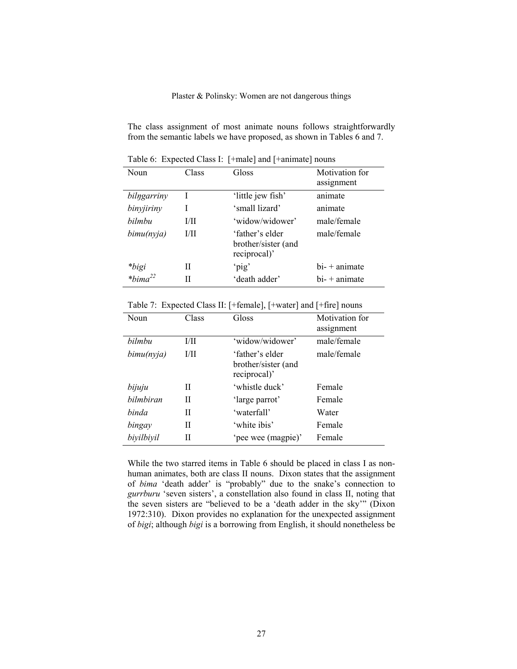The class assignment of most animate nouns follows straightforwardly from the semantic labels we have proposed, as shown in Tables 6 and 7.

| Noun          | Class | Gloss                                                  | Motivation for   |
|---------------|-------|--------------------------------------------------------|------------------|
|               |       |                                                        | assignment       |
| bilngarriny   |       | 'little jew fish'                                      | animate          |
| binyjiriny    |       | 'small lizard'                                         | animate          |
| <i>bilmbu</i> | I/II  | 'widow/widower'                                        | male/female      |
| bimu(nyja)    | I/II  | 'father's elder<br>brother/sister (and<br>reciprocal)' | male/female      |
| *bigi         | Н     | 'pig'                                                  | $bi - +$ animate |
| $*hima22$     | Н     | 'death adder'                                          | $bi - +$ animate |

Table 6: Expected Class I: [+male] and [+animate] nouns

Table 7: Expected Class II: [+female], [+water] and [+fire] nouns

| Noun             | Class | Gloss                                                  | Motivation for<br>assignment |
|------------------|-------|--------------------------------------------------------|------------------------------|
| hilmhu           | 1/11  | 'widow/widower'                                        | male/female                  |
| bimu(nyja)       | 1/11  | 'father's elder<br>brother/sister (and<br>reciprocal)' | male/female                  |
| bijuju           | Н     | 'whistle duck'                                         | Female                       |
| <i>bilmbiran</i> | Н     | 'large parrot'                                         | Female                       |
| <i>hinda</i>     | Н     | 'waterfall'                                            | Water                        |
| bingay           | Н     | 'white ibis'                                           | Female                       |
| biyilbiyil       | Н     | 'pee wee (magpie)'                                     | Female                       |

While the two starred items in Table 6 should be placed in class I as nonhuman animates, both are class II nouns. Dixon states that the assignment of *bima* 'death adder' is "probably" due to the snake's connection to *gurrburu* 'seven sisters', a constellation also found in class II, noting that the seven sisters are "believed to be a 'death adder in the sky'" (Dixon 1972:310). Dixon provides no explanation for the unexpected assignment of *bigi*; although *bigi* is a borrowing from English, it should nonetheless be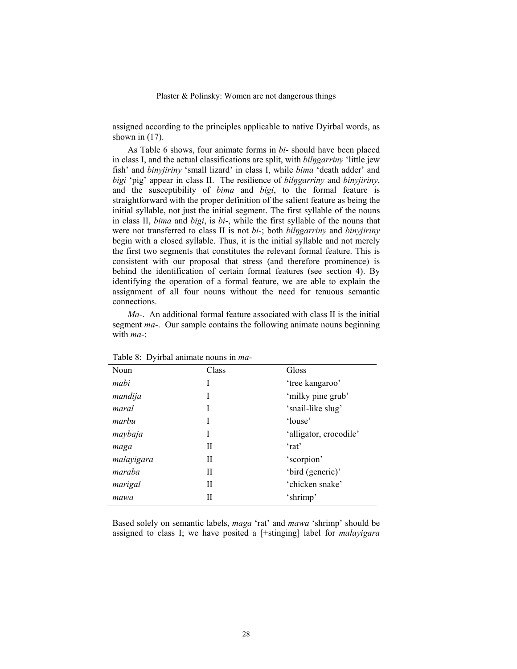assigned according to the principles applicable to native Dyirbal words, as shown in  $(17)$ .

As Table 6 shows, four animate forms in *bi*- should have been placed in class I, and the actual classifications are split, with *bilŋgarriny* 'little jew fish' and *binyjiriny* 'small lizard' in class I, while *bima* 'death adder' and *bigi* 'pig' appear in class II. The resilience of *bilŋgarriny* and *binyjiriny*, and the susceptibility of *bima* and *bigi*, to the formal feature is straightforward with the proper definition of the salient feature as being the initial syllable, not just the initial segment. The first syllable of the nouns in class II, *bima* and *bigi*, is *bi*-, while the first syllable of the nouns that were not transferred to class II is not *bi-*; both *bilŋgarriny* and *binyjiriny* begin with a closed syllable. Thus, it is the initial syllable and not merely the first two segments that constitutes the relevant formal feature. This is consistent with our proposal that stress (and therefore prominence) is behind the identification of certain formal features (see section 4). By identifying the operation of a formal feature, we are able to explain the assignment of all four nouns without the need for tenuous semantic connections.

*Ma-*. An additional formal feature associated with class II is the initial segment *ma*-. Our sample contains the following animate nouns beginning with *ma*-:

| Noun       | Class | Gloss                  |
|------------|-------|------------------------|
| mabi       | I     | 'tree kangaroo'        |
| mandija    | I     | 'milky pine grub'      |
| maral      | I     | 'snail-like slug'      |
| marbu      | I     | 'louse'                |
| maybaja    | I     | 'alligator, crocodile' |
| maga       | П     | 'rat'                  |
| malayigara | П     | 'scorpion'             |
| maraba     | Н     | 'bird (generic)'       |
| marigal    | П     | 'chicken snake'        |
| mawa       | Н     | 'shrimp'               |

Table 8: Dyirbal animate nouns in *ma*-

Based solely on semantic labels, *maga* 'rat' and *mawa* 'shrimp' should be assigned to class I; we have posited a [+stinging] label for *malayigara*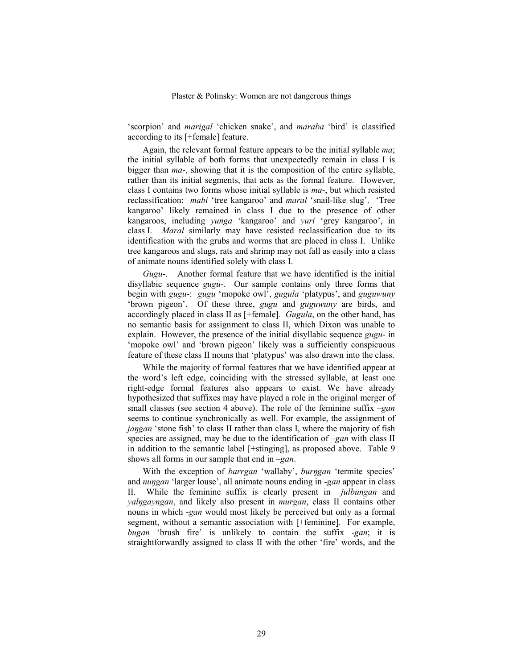'scorpion' and *marigal* 'chicken snake', and *maraba* 'bird' is classified according to its [+female] feature.

Again, the relevant formal feature appears to be the initial syllable *ma*; the initial syllable of both forms that unexpectedly remain in class I is bigger than *ma*-, showing that it is the composition of the entire syllable, rather than its initial segments, that acts as the formal feature. However, class I contains two forms whose initial syllable is *ma*-, but which resisted reclassification: *mabi* 'tree kangaroo' and *maral* 'snail-like slug'. 'Tree kangaroo' likely remained in class I due to the presence of other kangaroos, including *yunga* 'kangaroo' and *yuri* 'grey kangaroo', in class I. *Maral* similarly may have resisted reclassification due to its identification with the grubs and worms that are placed in class I. Unlike tree kangaroos and slugs, rats and shrimp may not fall as easily into a class of animate nouns identified solely with class I.

*Gugu*-. Another formal feature that we have identified is the initial disyllabic sequence *gugu*-. Our sample contains only three forms that begin with *gugu*-: *gugu* 'mopoke owl', *gugula* 'platypus', and *guguwuny* 'brown pigeon'. Of these three, *gugu* and *guguwuny* are birds, and accordingly placed in class II as [+female]. *Gugula*, on the other hand, has no semantic basis for assignment to class II, which Dixon was unable to explain. However, the presence of the initial disyllabic sequence *gugu*- in 'mopoke owl' and 'brown pigeon' likely was a sufficiently conspicuous feature of these class II nouns that 'platypus' was also drawn into the class.

While the majority of formal features that we have identified appear at the word's left edge, coinciding with the stressed syllable, at least one right-edge formal features also appears to exist. We have already hypothesized that suffixes may have played a role in the original merger of small classes (see section 4 above). The role of the feminine suffix –*gan* seems to continue synchronically as well. For example, the assignment of *jangan* 'stone fish' to class II rather than class I, where the majority of fish species are assigned, may be due to the identification of –*gan* with class II in addition to the semantic label [+stinging], as proposed above. Table 9 shows all forms in our sample that end in –*gan*.

With the exception of *barrgan* 'wallaby', *burŋgan* 'termite species' and *nuŋgan* 'larger louse', all animate nouns ending in -*gan* appear in class II. While the feminine suffix is clearly present in *julbungan* and *yalŋgayngan*, and likely also present in *murgan*, class II contains other nouns in which -*gan* would most likely be perceived but only as a formal segment, without a semantic association with [+feminine]. For example, *bugan* 'brush fire' is unlikely to contain the suffix -*gan*; it is straightforwardly assigned to class II with the other 'fire' words, and the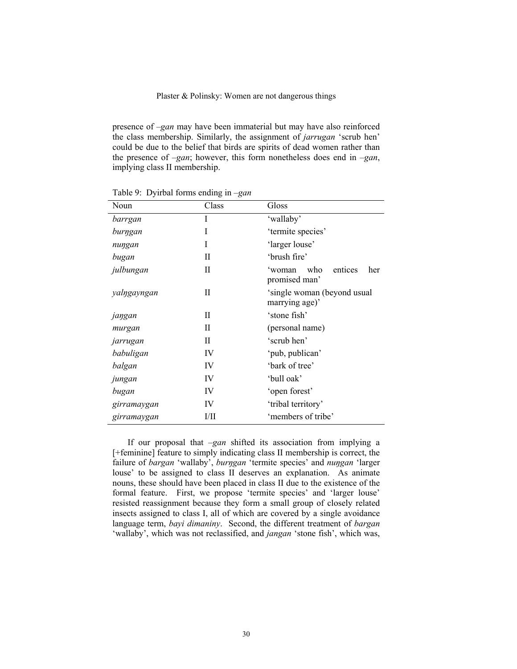presence of *–gan* may have been immaterial but may have also reinforced the class membership. Similarly, the assignment of *jarrugan* 'scrub hen' could be due to the belief that birds are spirits of dead women rather than the presence of –*gan*; however, this form nonetheless does end in –*gan*, implying class II membership.

| Noun        | Class | Gloss                                            |
|-------------|-------|--------------------------------------------------|
| barrgan     | I     | 'wallaby'                                        |
| burngan     | I     | 'termite species'                                |
| nungan      | I     | 'larger louse'                                   |
| bugan       | П     | 'brush fire'                                     |
| julbungan   | П     | who<br>entices<br>her<br>'woman<br>promised man' |
| yalŋgayngan | П     | 'single woman (beyond usual<br>marrying age)'    |
| jangan      | П     | 'stone fish'                                     |
| murgan      | П     | (personal name)                                  |
| jarrugan    | П     | 'scrub hen'                                      |
| babuligan   | IV    | 'pub, publican'                                  |
| balgan      | IV    | 'bark of tree'                                   |
| jungan      | IV    | 'bull oak'                                       |
| bugan       | IV    | 'open forest'                                    |
| girramaygan | IV    | 'tribal territory'                               |
| girramaygan | I/II  | 'members of tribe'                               |

Table 9: Dyirbal forms ending in –*gan*

If our proposal that *–gan* shifted its association from implying a [+feminine] feature to simply indicating class II membership is correct, the failure of *bargan* 'wallaby', *burŋgan* 'termite species' and *nuŋgan* 'larger louse' to be assigned to class II deserves an explanation. As animate nouns, these should have been placed in class II due to the existence of the formal feature. First, we propose 'termite species' and 'larger louse' resisted reassignment because they form a small group of closely related insects assigned to class I, all of which are covered by a single avoidance language term, *bayi dimaniny*. Second, the different treatment of *bargan* 'wallaby', which was not reclassified, and *jangan* 'stone fish', which was,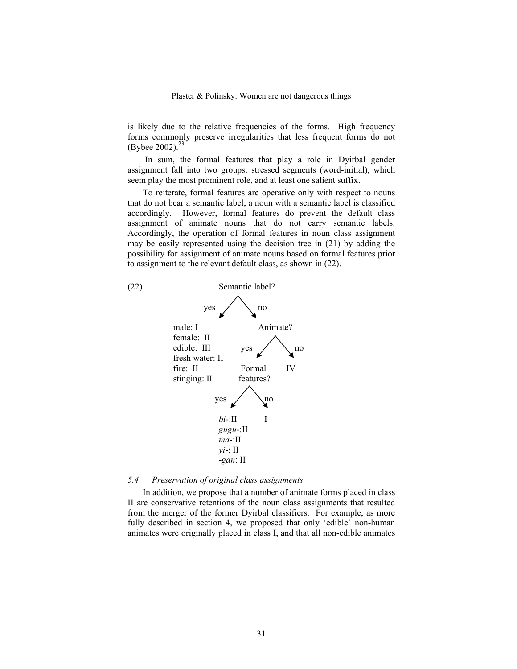is likely due to the relative frequencies of the forms. High frequency forms commonly preserve irregularities that less frequent forms do not (Bybee 2002).<sup>23</sup>

 In sum, the formal features that play a role in Dyirbal gender assignment fall into two groups: stressed segments (word-initial), which seem play the most prominent role, and at least one salient suffix.

To reiterate, formal features are operative only with respect to nouns that do not bear a semantic label; a noun with a semantic label is classified accordingly. However, formal features do prevent the default class assignment of animate nouns that do not carry semantic labels. Accordingly, the operation of formal features in noun class assignment may be easily represented using the decision tree in (21) by adding the possibility for assignment of animate nouns based on formal features prior to assignment to the relevant default class, as shown in (22).



### *5.4 Preservation of original class assignments*

In addition, we propose that a number of animate forms placed in class II are conservative retentions of the noun class assignments that resulted from the merger of the former Dyirbal classifiers. For example, as more fully described in section 4, we proposed that only 'edible' non-human animates were originally placed in class I, and that all non-edible animates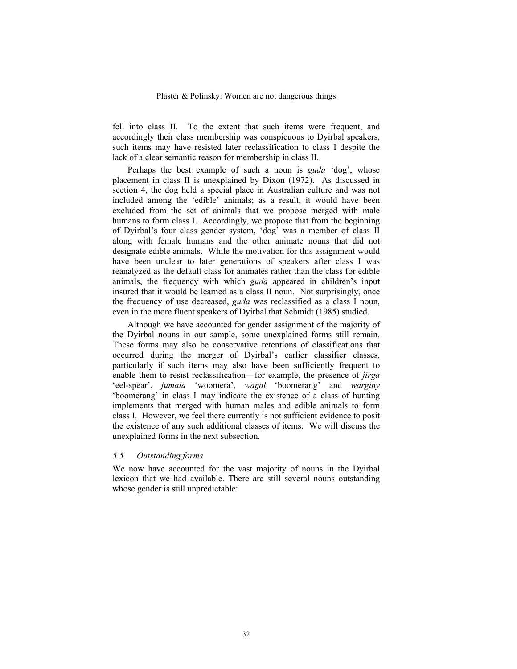fell into class II. To the extent that such items were frequent, and accordingly their class membership was conspicuous to Dyirbal speakers, such items may have resisted later reclassification to class I despite the lack of a clear semantic reason for membership in class II.

Perhaps the best example of such a noun is *guda* 'dog', whose placement in class II is unexplained by Dixon (1972). As discussed in section 4, the dog held a special place in Australian culture and was not included among the 'edible' animals; as a result, it would have been excluded from the set of animals that we propose merged with male humans to form class I. Accordingly, we propose that from the beginning of Dyirbal's four class gender system, 'dog' was a member of class II along with female humans and the other animate nouns that did not designate edible animals. While the motivation for this assignment would have been unclear to later generations of speakers after class I was reanalyzed as the default class for animates rather than the class for edible animals, the frequency with which *guda* appeared in children's input insured that it would be learned as a class II noun. Not surprisingly, once the frequency of use decreased, *guda* was reclassified as a class I noun, even in the more fluent speakers of Dyirbal that Schmidt (1985) studied.

Although we have accounted for gender assignment of the majority of the Dyirbal nouns in our sample, some unexplained forms still remain. These forms may also be conservative retentions of classifications that occurred during the merger of Dyirbal's earlier classifier classes, particularly if such items may also have been sufficiently frequent to enable them to resist reclassification—for example, the presence of *jirga*  'eel-spear', *jumala* 'woomera', *waŋal* 'boomerang' and *warginy* 'boomerang' in class I may indicate the existence of a class of hunting implements that merged with human males and edible animals to form class I. However, we feel there currently is not sufficient evidence to posit the existence of any such additional classes of items. We will discuss the unexplained forms in the next subsection.

### *5.5 Outstanding forms*

We now have accounted for the vast majority of nouns in the Dyirbal lexicon that we had available. There are still several nouns outstanding whose gender is still unpredictable: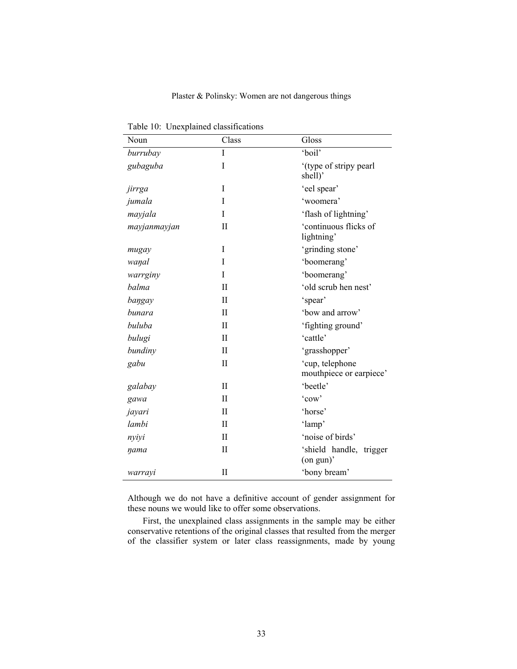| Noun         | Class        | Gloss                                       |
|--------------|--------------|---------------------------------------------|
| burrubay     | I            | 'boil'                                      |
| gubaguba     | I            | '(type of stripy pearl<br>shell)'           |
| jirrga       | I            | 'eel spear'                                 |
| jumala       | I            | 'woomera'                                   |
| mayjala      | I            | 'flash of lightning'                        |
| mayjanmayjan | П            | 'continuous flicks of<br>lightning'         |
| mugay        | I            | 'grinding stone'                            |
| wanal        | I            | 'boomerang'                                 |
| warrginy     | I            | 'boomerang'                                 |
| balma        | $\mathbf{I}$ | 'old scrub hen nest'                        |
| bangay       | $\mathbf{I}$ | 'spear'                                     |
| bunara       | $\mathbf{I}$ | 'bow and arrow'                             |
| buluba       | $\mathbf{I}$ | 'fighting ground'                           |
| bulugi       | $\mathbf{I}$ | 'cattle'                                    |
| bundiny      | $\mathbf{I}$ | 'grasshopper'                               |
| gabu         | $\mathbf{I}$ | 'cup, telephone<br>mouthpiece or earpiece'  |
| galabay      | П            | 'beetle'                                    |
| gawa         | $\mathbf{I}$ | 'cow'                                       |
| jayari       | $\mathbf{I}$ | 'horse'                                     |
| lambi        | $\mathbf{I}$ | 'lamp'                                      |
| nyiyi        | $\mathbf{I}$ | 'noise of birds'                            |
| nama         | $\mathbf{I}$ | 'shield handle, trigger<br>$($ on gun $)$ ' |
| warrayi      | $\mathbf{I}$ | 'bony bream'                                |

Table 10: Unexplained classifications

Although we do not have a definitive account of gender assignment for these nouns we would like to offer some observations.

First, the unexplained class assignments in the sample may be either conservative retentions of the original classes that resulted from the merger of the classifier system or later class reassignments, made by young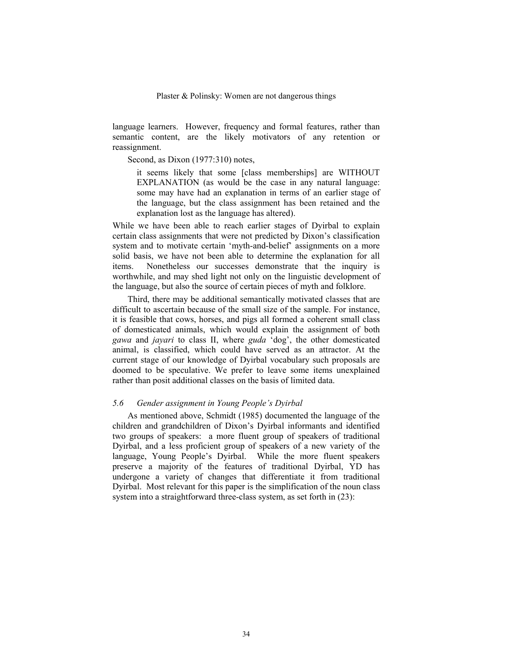language learners. However, frequency and formal features, rather than semantic content, are the likely motivators of any retention or reassignment.

Second, as Dixon (1977:310) notes,

it seems likely that some [class memberships] are WITHOUT EXPLANATION (as would be the case in any natural language: some may have had an explanation in terms of an earlier stage of the language, but the class assignment has been retained and the explanation lost as the language has altered).

While we have been able to reach earlier stages of Dyirbal to explain certain class assignments that were not predicted by Dixon's classification system and to motivate certain 'myth-and-belief' assignments on a more solid basis, we have not been able to determine the explanation for all items. Nonetheless our successes demonstrate that the inquiry is worthwhile, and may shed light not only on the linguistic development of the language, but also the source of certain pieces of myth and folklore.

Third, there may be additional semantically motivated classes that are difficult to ascertain because of the small size of the sample. For instance, it is feasible that cows, horses, and pigs all formed a coherent small class of domesticated animals, which would explain the assignment of both *gawa* and *jayari* to class II, where *guda* 'dog', the other domesticated animal, is classified, which could have served as an attractor. At the current stage of our knowledge of Dyirbal vocabulary such proposals are doomed to be speculative. We prefer to leave some items unexplained rather than posit additional classes on the basis of limited data.

## *5.6 Gender assignment in Young People's Dyirbal*

As mentioned above, Schmidt (1985) documented the language of the children and grandchildren of Dixon's Dyirbal informants and identified two groups of speakers: a more fluent group of speakers of traditional Dyirbal, and a less proficient group of speakers of a new variety of the language, Young People's Dyirbal. While the more fluent speakers preserve a majority of the features of traditional Dyirbal, YD has undergone a variety of changes that differentiate it from traditional Dyirbal. Most relevant for this paper is the simplification of the noun class system into a straightforward three-class system, as set forth in  $(23)$ :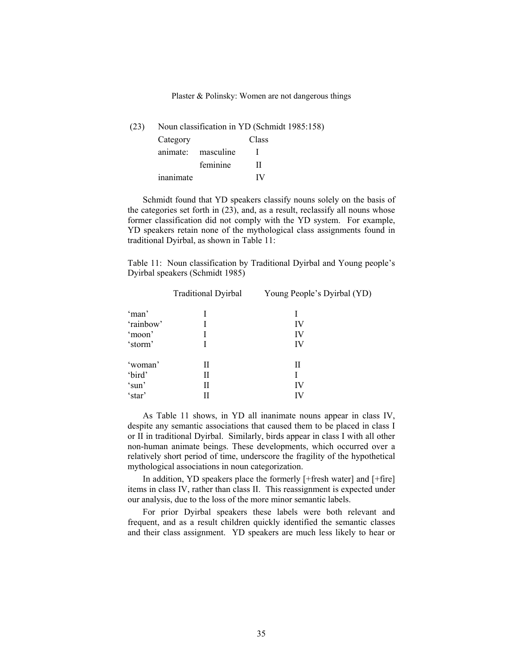| (23) |           | Noun classification in YD (Schmidt 1985:158) |       |  |  |
|------|-----------|----------------------------------------------|-------|--|--|
|      | Category  |                                              | Class |  |  |
|      |           | animate: masculine                           |       |  |  |
|      |           | feminine                                     | ш     |  |  |
|      | inanimate |                                              | IV    |  |  |

Schmidt found that YD speakers classify nouns solely on the basis of the categories set forth in (23), and, as a result, reclassify all nouns whose former classification did not comply with the YD system. For example, YD speakers retain none of the mythological class assignments found in traditional Dyirbal, as shown in Table 11:

Table 11: Noun classification by Traditional Dyirbal and Young people's Dyirbal speakers (Schmidt 1985)

|           | <b>Traditional Dyirbal</b> | Young People's Dyirbal (YD) |
|-----------|----------------------------|-----------------------------|
| 'man'     |                            |                             |
| 'rainbow' |                            | IV                          |
| 'moon'    |                            | IV                          |
| 'storm'   |                            | IV                          |
| 'woman'   | П                          | П                           |
| 'bird'    | П                          |                             |
| 'sun'     | П                          | IV                          |
| 'star'    |                            | IV                          |
|           |                            |                             |

As Table 11 shows, in YD all inanimate nouns appear in class IV, despite any semantic associations that caused them to be placed in class I or II in traditional Dyirbal. Similarly, birds appear in class I with all other non-human animate beings. These developments, which occurred over a relatively short period of time, underscore the fragility of the hypothetical mythological associations in noun categorization.

In addition, YD speakers place the formerly [+fresh water] and [+fire] items in class IV, rather than class II. This reassignment is expected under our analysis, due to the loss of the more minor semantic labels.

For prior Dyirbal speakers these labels were both relevant and frequent, and as a result children quickly identified the semantic classes and their class assignment. YD speakers are much less likely to hear or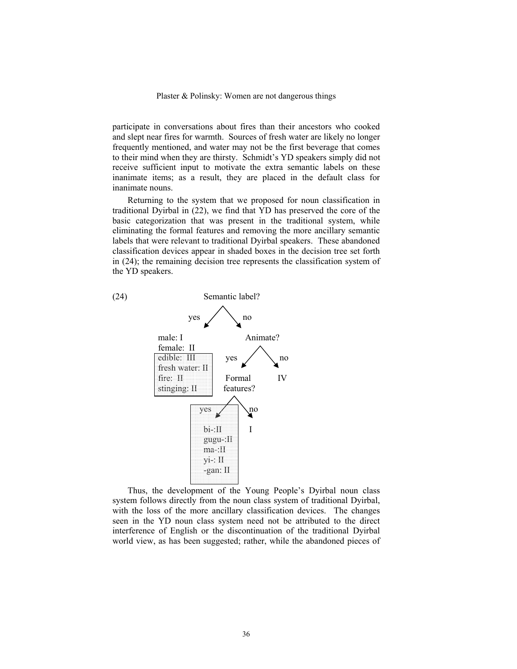participate in conversations about fires than their ancestors who cooked and slept near fires for warmth. Sources of fresh water are likely no longer frequently mentioned, and water may not be the first beverage that comes to their mind when they are thirsty. Schmidt's YD speakers simply did not receive sufficient input to motivate the extra semantic labels on these inanimate items; as a result, they are placed in the default class for inanimate nouns.

Returning to the system that we proposed for noun classification in traditional Dyirbal in (22), we find that YD has preserved the core of the basic categorization that was present in the traditional system, while eliminating the formal features and removing the more ancillary semantic labels that were relevant to traditional Dyirbal speakers. These abandoned classification devices appear in shaded boxes in the decision tree set forth in (24); the remaining decision tree represents the classification system of the YD speakers.



Thus, the development of the Young People's Dyirbal noun class system follows directly from the noun class system of traditional Dyirbal, with the loss of the more ancillary classification devices. The changes seen in the YD noun class system need not be attributed to the direct interference of English or the discontinuation of the traditional Dyirbal world view, as has been suggested; rather, while the abandoned pieces of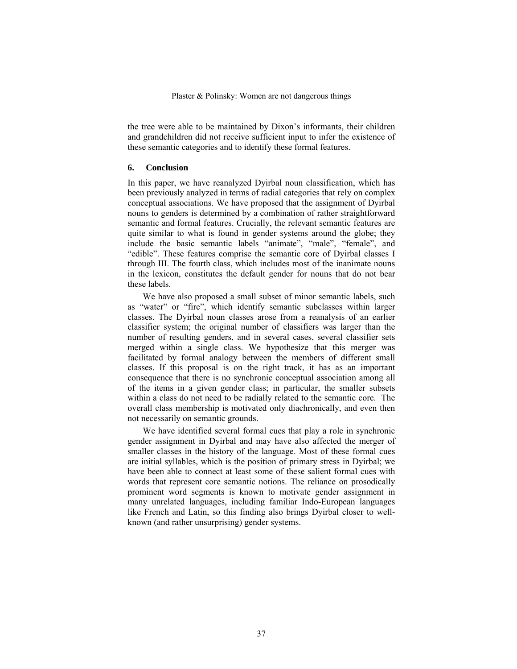the tree were able to be maintained by Dixon's informants, their children and grandchildren did not receive sufficient input to infer the existence of these semantic categories and to identify these formal features.

### **6. Conclusion**

In this paper, we have reanalyzed Dyirbal noun classification, which has been previously analyzed in terms of radial categories that rely on complex conceptual associations. We have proposed that the assignment of Dyirbal nouns to genders is determined by a combination of rather straightforward semantic and formal features. Crucially, the relevant semantic features are quite similar to what is found in gender systems around the globe; they include the basic semantic labels "animate", "male", "female", and "edible". These features comprise the semantic core of Dyirbal classes I through III. The fourth class, which includes most of the inanimate nouns in the lexicon, constitutes the default gender for nouns that do not bear these labels.

We have also proposed a small subset of minor semantic labels, such as "water" or "fire", which identify semantic subclasses within larger classes. The Dyirbal noun classes arose from a reanalysis of an earlier classifier system; the original number of classifiers was larger than the number of resulting genders, and in several cases, several classifier sets merged within a single class. We hypothesize that this merger was facilitated by formal analogy between the members of different small classes. If this proposal is on the right track, it has as an important consequence that there is no synchronic conceptual association among all of the items in a given gender class; in particular, the smaller subsets within a class do not need to be radially related to the semantic core. The overall class membership is motivated only diachronically, and even then not necessarily on semantic grounds.

We have identified several formal cues that play a role in synchronic gender assignment in Dyirbal and may have also affected the merger of smaller classes in the history of the language. Most of these formal cues are initial syllables, which is the position of primary stress in Dyirbal; we have been able to connect at least some of these salient formal cues with words that represent core semantic notions. The reliance on prosodically prominent word segments is known to motivate gender assignment in many unrelated languages, including familiar Indo-European languages like French and Latin, so this finding also brings Dyirbal closer to wellknown (and rather unsurprising) gender systems.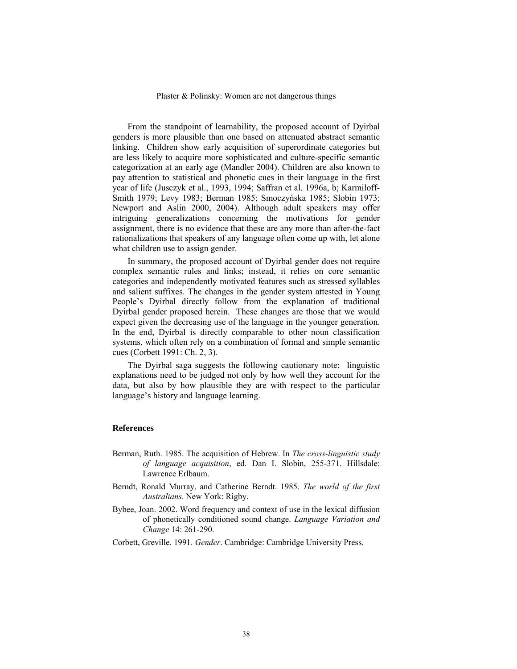From the standpoint of learnability, the proposed account of Dyirbal genders is more plausible than one based on attenuated abstract semantic linking. Children show early acquisition of superordinate categories but are less likely to acquire more sophisticated and culture-specific semantic categorization at an early age (Mandler 2004). Children are also known to pay attention to statistical and phonetic cues in their language in the first year of life (Jusczyk et al., 1993, 1994; Saffran et al. 1996a, b; Karmiloff-Smith 1979; Levy 1983; Berman 1985; Smoczyńska 1985; Slobin 1973; Newport and Aslin 2000, 2004). Although adult speakers may offer intriguing generalizations concerning the motivations for gender assignment, there is no evidence that these are any more than after-the-fact rationalizations that speakers of any language often come up with, let alone what children use to assign gender.

In summary, the proposed account of Dyirbal gender does not require complex semantic rules and links; instead, it relies on core semantic categories and independently motivated features such as stressed syllables and salient suffixes. The changes in the gender system attested in Young People's Dyirbal directly follow from the explanation of traditional Dyirbal gender proposed herein. These changes are those that we would expect given the decreasing use of the language in the younger generation. In the end, Dyirbal is directly comparable to other noun classification systems, which often rely on a combination of formal and simple semantic cues (Corbett 1991: Ch. 2, 3).

The Dyirbal saga suggests the following cautionary note: linguistic explanations need to be judged not only by how well they account for the data, but also by how plausible they are with respect to the particular language's history and language learning.

# **References**

- Berman, Ruth. 1985. The acquisition of Hebrew. In *The cross-linguistic study of language acquisition*, ed. Dan I. Slobin, 255-371. Hillsdale: Lawrence Erlbaum.
- Berndt, Ronald Murray, and Catherine Berndt. 1985. *The world of the first Australians*. New York: Rigby.
- Bybee, Joan. 2002. Word frequency and context of use in the lexical diffusion of phonetically conditioned sound change. *Language Variation and Change* 14: 261-290.
- Corbett, Greville. 1991. *Gender*. Cambridge: Cambridge University Press.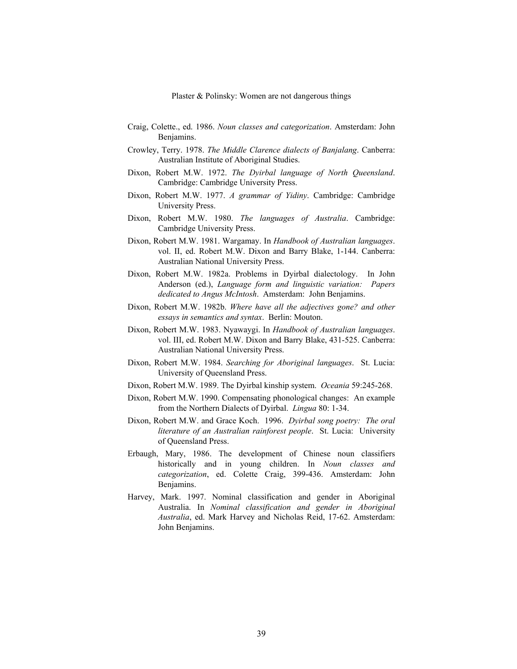- Craig, Colette., ed. 1986. *Noun classes and categorization*. Amsterdam: John Benjamins.
- Crowley, Terry. 1978. *The Middle Clarence dialects of Banjalang*. Canberra: Australian Institute of Aboriginal Studies.
- Dixon, Robert M.W. 1972. *The Dyirbal language of North Queensland*. Cambridge: Cambridge University Press.
- Dixon, Robert M.W. 1977. *A grammar of Yidiny*. Cambridge: Cambridge University Press.
- Dixon, Robert M.W. 1980. *The languages of Australia*. Cambridge: Cambridge University Press.
- Dixon, Robert M.W. 1981. Wargamay. In *Handbook of Australian languages*. vol. II, ed. Robert M.W. Dixon and Barry Blake, 1-144. Canberra: Australian National University Press.
- Dixon, Robert M.W. 1982a. Problems in Dyirbal dialectology. In John Anderson (ed.), *Language form and linguistic variation: Papers dedicated to Angus McIntosh*. Amsterdam: John Benjamins.
- Dixon, Robert M.W. 1982b. *Where have all the adjectives gone? and other essays in semantics and syntax*. Berlin: Mouton.
- Dixon, Robert M.W. 1983. Nyawaygi. In *Handbook of Australian languages*. vol. III, ed. Robert M.W. Dixon and Barry Blake, 431-525. Canberra: Australian National University Press.
- Dixon, Robert M.W. 1984. *Searching for Aboriginal languages*. St. Lucia: University of Queensland Press.
- Dixon, Robert M.W. 1989. The Dyirbal kinship system. *Oceania* 59:245-268.
- Dixon, Robert M.W. 1990. Compensating phonological changes: An example from the Northern Dialects of Dyirbal. *Lingua* 80: 1-34.
- Dixon, Robert M.W. and Grace Koch. 1996. *Dyirbal song poetry: The oral literature of an Australian rainforest people*. St. Lucia: University of Queensland Press.
- Erbaugh, Mary, 1986. The development of Chinese noun classifiers historically and in young children. In *Noun classes and categorization*, ed. Colette Craig, 399-436. Amsterdam: John Benjamins.
- Harvey, Mark. 1997. Nominal classification and gender in Aboriginal Australia. In *Nominal classification and gender in Aboriginal Australia*, ed. Mark Harvey and Nicholas Reid, 17-62. Amsterdam: John Benjamins.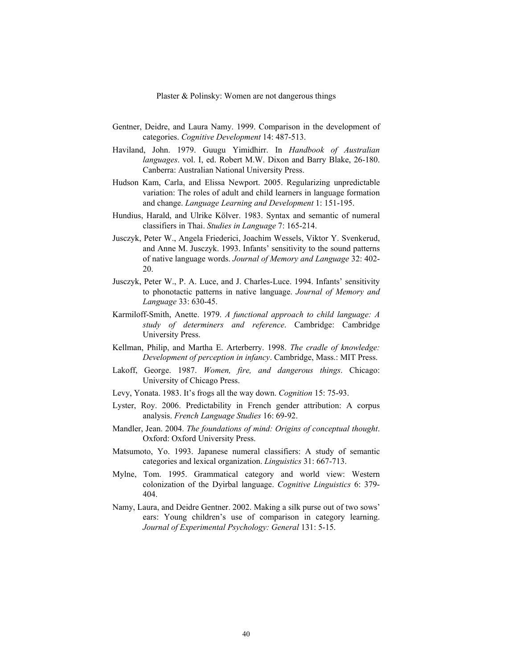- Gentner, Deidre, and Laura Namy. 1999. Comparison in the development of categories. *Cognitive Development* 14: 487-513.
- Haviland, John. 1979. Guugu Yimidhirr. In *Handbook of Australian languages*. vol. I, ed. Robert M.W. Dixon and Barry Blake, 26-180. Canberra: Australian National University Press.
- Hudson Kam, Carla, and Elissa Newport. 2005. Regularizing unpredictable variation: The roles of adult and child learners in language formation and change. *Language Learning and Development* 1: 151-195.
- Hundius, Harald, and Ulrike Kölver. 1983. Syntax and semantic of numeral classifiers in Thai. *Studies in Language* 7: 165-214.
- Jusczyk, Peter W., Angela Friederici, Joachim Wessels, Viktor Y. Svenkerud, and Anne M. Jusczyk. 1993. Infants' sensitivity to the sound patterns of native language words. *Journal of Memory and Language* 32: 402- 20.
- Jusczyk, Peter W., P. A. Luce, and J. Charles-Luce. 1994. Infants' sensitivity to phonotactic patterns in native language. *Journal of Memory and Language* 33: 630-45.
- Karmiloff-Smith, Anette. 1979. *A functional approach to child language: A study of determiners and reference*. Cambridge: Cambridge University Press.
- Kellman, Philip, and Martha E. Arterberry. 1998. *The cradle of knowledge: Development of perception in infancy*. Cambridge, Mass.: MIT Press.
- Lakoff, George. 1987. *Women, fire, and dangerous things*. Chicago: University of Chicago Press.
- Levy, Yonata. 1983. It's frogs all the way down. *Cognition* 15: 75-93.
- Lyster, Roy. 2006. Predictability in French gender attribution: A corpus analysis. *French Language Studies* 16: 69-92.
- Mandler, Jean. 2004. *The foundations of mind: Origins of conceptual thought*. Oxford: Oxford University Press.
- Matsumoto, Yo. 1993. Japanese numeral classifiers: A study of semantic categories and lexical organization. *Linguistics* 31: 667-713.
- Mylne, Tom. 1995. Grammatical category and world view: Western colonization of the Dyirbal language. *Cognitive Linguistics* 6: 379- 404.
- Namy, Laura, and Deidre Gentner. 2002. Making a silk purse out of two sows' ears: Young children's use of comparison in category learning. *Journal of Experimental Psychology: General* 131: 5-15.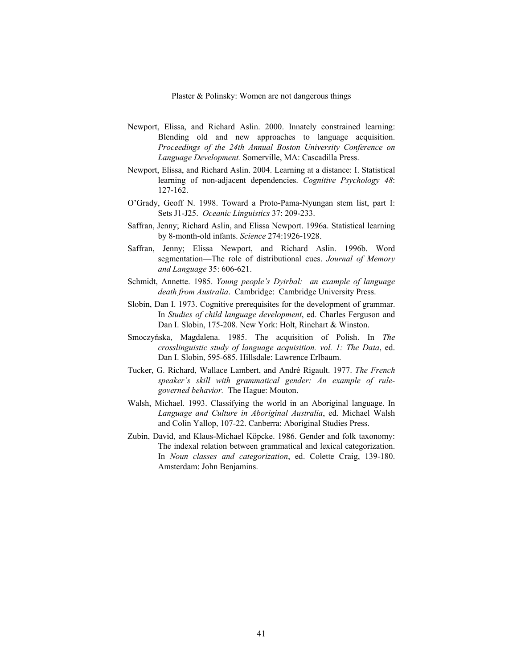- Newport, Elissa, and Richard Aslin. 2000. Innately constrained learning: Blending old and new approaches to language acquisition. *Proceedings of the 24th Annual Boston University Conference on Language Development.* Somerville, MA: Cascadilla Press.
- Newport, Elissa, and Richard Aslin. 2004. Learning at a distance: I. Statistical learning of non-adjacent dependencies. *Cognitive Psychology 48*: 127-162.
- O'Grady, Geoff N. 1998. Toward a Proto-Pama-Nyungan stem list, part I: Sets J1-J25. *Oceanic Linguistics* 37: 209-233.
- Saffran, Jenny; Richard Aslin, and Elissa Newport. 1996a. Statistical learning by 8-month-old infants. *Science* 274:1926-1928.
- Saffran, Jenny; Elissa Newport, and Richard Aslin. 1996b. Word segmentation—The role of distributional cues. *Journal of Memory and Language* 35: 606-621.
- Schmidt, Annette. 1985. *Young people's Dyirbal: an example of language death from Australia*. Cambridge: Cambridge University Press.
- Slobin, Dan I. 1973. Cognitive prerequisites for the development of grammar. In *Studies of child language development*, ed. Charles Ferguson and Dan I. Slobin, 175-208. New York: Holt, Rinehart & Winston.
- Smoczyńska, Magdalena. 1985. The acquisition of Polish. In *The crosslinguistic study of language acquisition. vol. 1: The Data*, ed. Dan I. Slobin, 595-685. Hillsdale: Lawrence Erlbaum.
- Tucker, G. Richard, Wallace Lambert, and André Rigault. 1977. *The French speaker's skill with grammatical gender: An example of rulegoverned behavior.* The Hague: Mouton.
- Walsh, Michael. 1993. Classifying the world in an Aboriginal language. In *Language and Culture in Aboriginal Australia*, ed. Michael Walsh and Colin Yallop, 107-22. Canberra: Aboriginal Studies Press.
- Zubin, David, and Klaus-Michael Köpcke. 1986. Gender and folk taxonomy: The indexal relation between grammatical and lexical categorization. In *Noun classes and categorization*, ed. Colette Craig, 139-180. Amsterdam: John Benjamins.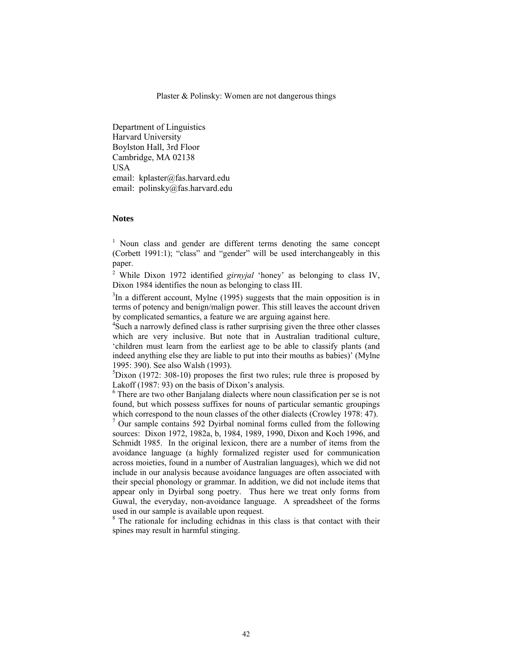Department of Linguistics Harvard University Boylston Hall, 3rd Floor Cambridge, MA 02138 USA email: kplaster@fas.harvard.edu email: polinsky@fas.harvard.edu

### **Notes**

<sup>1</sup> Noun class and gender are different terms denoting the same concept (Corbett 1991:1); "class" and "gender" will be used interchangeably in this paper.

<sup>2</sup> While Dixon 1972 identified *girnyjal* 'honey' as belonging to class IV, Dixon 1984 identifies the noun as belonging to class III.

 $3$ In a different account, Mylne (1995) suggests that the main opposition is in terms of potency and benign/malign power. This still leaves the account driven by complicated semantics, a feature we are arguing against here. 4

<sup>4</sup>Such a narrowly defined class is rather surprising given the three other classes which are very inclusive. But note that in Australian traditional culture, 'children must learn from the earliest age to be able to classify plants (and indeed anything else they are liable to put into their mouths as babies)' (Mylne 1995: 390). See also Walsh (1993).

 ${}^{5}$ Dixon (1972: 308-10) proposes the first two rules; rule three is proposed by Lakoff (1987: 93) on the basis of Dixon's analysis.

<sup>6</sup> There are two other Banjalang dialects where noun classification per se is not found, but which possess suffixes for nouns of particular semantic groupings which correspond to the noun classes of the other dialects (Crowley 1978:  $47$ ).

 $\frac{7}{1}$  Our sample contains 592 Dyirbal nominal forms culled from the following sources: Dixon 1972, 1982a, b, 1984, 1989, 1990, Dixon and Koch 1996, and Schmidt 1985. In the original lexicon, there are a number of items from the avoidance language (a highly formalized register used for communication across moieties, found in a number of Australian languages), which we did not include in our analysis because avoidance languages are often associated with their special phonology or grammar. In addition, we did not include items that appear only in Dyirbal song poetry. Thus here we treat only forms from Guwal, the everyday, non-avoidance language. A spreadsheet of the forms used in our sample is available upon request.

<sup>8</sup> The rationale for including echidnas in this class is that contact with their spines may result in harmful stinging.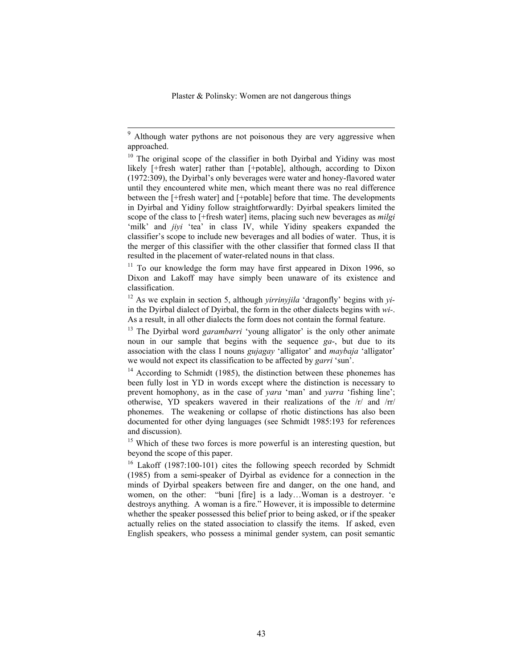$\overline{\phantom{a}}$ 

 $11$  To our knowledge the form may have first appeared in Dixon 1996, so Dixon and Lakoff may have simply been unaware of its existence and classification.

12 As we explain in section 5, although *yirrinyjila* 'dragonfly' begins with *yi*in the Dyirbal dialect of Dyirbal, the form in the other dialects begins with *wi-*. As a result, in all other dialects the form does not contain the formal feature.

<sup>13</sup> The Dyirbal word *garambarri* 'young alligator' is the only other animate noun in our sample that begins with the sequence *ga*-, but due to its association with the class I nouns *gujagay* 'alligator' and *maybaja* 'alligator' we would not expect its classification to be affected by *garri* 'sun'.

<sup>14</sup> According to Schmidt (1985), the distinction between these phonemes has been fully lost in YD in words except where the distinction is necessary to prevent homophony, as in the case of *yara* 'man' and *yarra* 'fishing line'; otherwise, YD speakers wavered in their realizations of the /r/ and /rr/ phonemes. The weakening or collapse of rhotic distinctions has also been documented for other dying languages (see Schmidt 1985:193 for references and discussion).

<sup>15</sup> Which of these two forces is more powerful is an interesting question, but beyond the scope of this paper.

<sup>16</sup> Lakoff (1987:100-101) cites the following speech recorded by Schmidt (1985) from a semi-speaker of Dyirbal as evidence for a connection in the minds of Dyirbal speakers between fire and danger, on the one hand, and women, on the other: "buni [fire] is a lady…Woman is a destroyer. 'e destroys anything. A woman is a fire." However, it is impossible to determine whether the speaker possessed this belief prior to being asked, or if the speaker actually relies on the stated association to classify the items. If asked, even English speakers, who possess a minimal gender system, can posit semantic

Although water pythons are not poisonous they are very aggressive when approached.

 $10$  The original scope of the classifier in both Dyirbal and Yidiny was most likely [+fresh water] rather than [+potable], although, according to Dixon (1972:309), the Dyirbal's only beverages were water and honey-flavored water until they encountered white men, which meant there was no real difference between the [+fresh water] and [+potable] before that time. The developments in Dyirbal and Yidiny follow straightforwardly: Dyirbal speakers limited the scope of the class to [+fresh water] items, placing such new beverages as *milgi* 'milk' and *jiyi* 'tea' in class IV, while Yidiny speakers expanded the classifier's scope to include new beverages and all bodies of water. Thus, it is the merger of this classifier with the other classifier that formed class II that resulted in the placement of water-related nouns in that class.